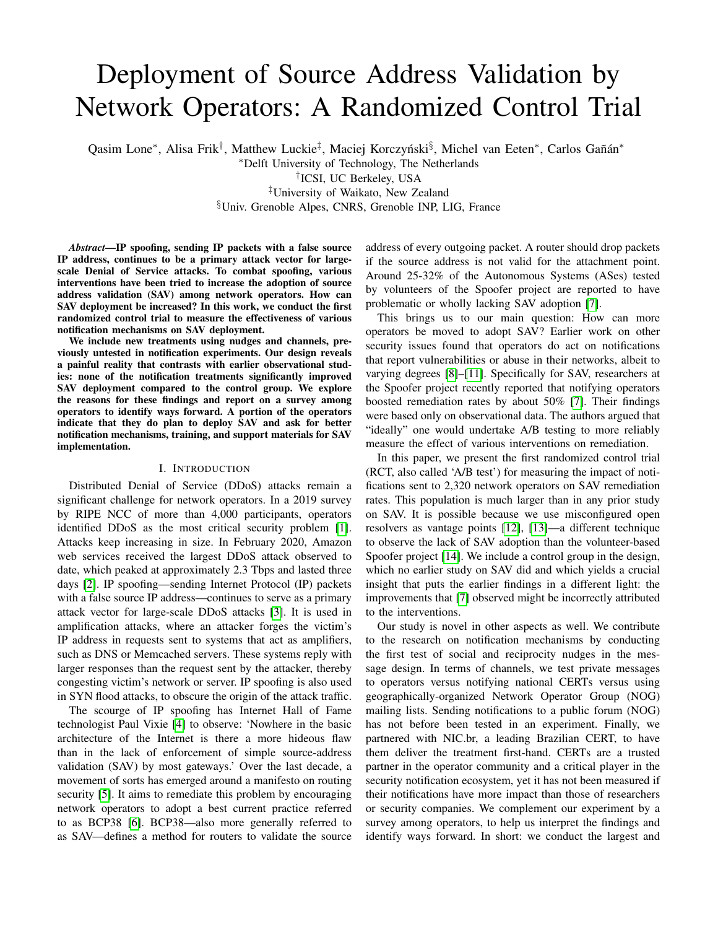# Deployment of Source Address Validation by Network Operators: A Randomized Control Trial

Qasim Lone\*, Alisa Frik<sup>†</sup>, Matthew Luckie<sup>‡</sup>, Maciej Korczyński<sup>§</sup>, Michel van Eeten\*, Carlos Gañán\* <sup>∗</sup>Delft University of Technology, The Netherlands † ICSI, UC Berkeley, USA ‡University of Waikato, New Zealand §Univ. Grenoble Alpes, CNRS, Grenoble INP, LIG, France

*Abstract*—IP spoofing, sending IP packets with a false source IP address, continues to be a primary attack vector for largescale Denial of Service attacks. To combat spoofing, various interventions have been tried to increase the adoption of source address validation (SAV) among network operators. How can SAV deployment be increased? In this work, we conduct the first randomized control trial to measure the effectiveness of various notification mechanisms on SAV deployment.

We include new treatments using nudges and channels, previously untested in notification experiments. Our design reveals a painful reality that contrasts with earlier observational studies: none of the notification treatments significantly improved SAV deployment compared to the control group. We explore the reasons for these findings and report on a survey among operators to identify ways forward. A portion of the operators indicate that they do plan to deploy SAV and ask for better notification mechanisms, training, and support materials for SAV implementation.

## I. INTRODUCTION

Distributed Denial of Service (DDoS) attacks remain a significant challenge for network operators. In a 2019 survey by RIPE NCC of more than 4,000 participants, operators identified DDoS as the most critical security problem [\[1\]](#page-13-0). Attacks keep increasing in size. In February 2020, Amazon web services received the largest DDoS attack observed to date, which peaked at approximately 2.3 Tbps and lasted three days [\[2\]](#page-13-1). IP spoofing—sending Internet Protocol (IP) packets with a false source IP address—continues to serve as a primary attack vector for large-scale DDoS attacks [\[3\]](#page-13-2). It is used in amplification attacks, where an attacker forges the victim's IP address in requests sent to systems that act as amplifiers, such as DNS or Memcached servers. These systems reply with larger responses than the request sent by the attacker, thereby congesting victim's network or server. IP spoofing is also used in SYN flood attacks, to obscure the origin of the attack traffic.

The scourge of IP spoofing has Internet Hall of Fame technologist Paul Vixie [\[4\]](#page-13-3) to observe: 'Nowhere in the basic architecture of the Internet is there a more hideous flaw than in the lack of enforcement of simple source-address validation (SAV) by most gateways.' Over the last decade, a movement of sorts has emerged around a manifesto on routing security [\[5\]](#page-13-4). It aims to remediate this problem by encouraging network operators to adopt a best current practice referred to as BCP38 [\[6\]](#page-13-5). BCP38—also more generally referred to as SAV—defines a method for routers to validate the source

address of every outgoing packet. A router should drop packets if the source address is not valid for the attachment point. Around 25-32% of the Autonomous Systems (ASes) tested by volunteers of the Spoofer project are reported to have problematic or wholly lacking SAV adoption [\[7\]](#page-13-6).

This brings us to our main question: How can more operators be moved to adopt SAV? Earlier work on other security issues found that operators do act on notifications that report vulnerabilities or abuse in their networks, albeit to varying degrees [\[8\]](#page-13-7)–[\[11\]](#page-13-8). Specifically for SAV, researchers at the Spoofer project recently reported that notifying operators boosted remediation rates by about 50% [\[7\]](#page-13-6). Their findings were based only on observational data. The authors argued that "ideally" one would undertake A/B testing to more reliably measure the effect of various interventions on remediation.

In this paper, we present the first randomized control trial (RCT, also called 'A/B test') for measuring the impact of notifications sent to 2,320 network operators on SAV remediation rates. This population is much larger than in any prior study on SAV. It is possible because we use misconfigured open resolvers as vantage points [\[12\]](#page-13-9), [\[13\]](#page-13-10)—a different technique to observe the lack of SAV adoption than the volunteer-based Spoofer project [\[14\]](#page-13-11). We include a control group in the design, which no earlier study on SAV did and which yields a crucial insight that puts the earlier findings in a different light: the improvements that [\[7\]](#page-13-6) observed might be incorrectly attributed to the interventions.

Our study is novel in other aspects as well. We contribute to the research on notification mechanisms by conducting the first test of social and reciprocity nudges in the message design. In terms of channels, we test private messages to operators versus notifying national CERTs versus using geographically-organized Network Operator Group (NOG) mailing lists. Sending notifications to a public forum (NOG) has not before been tested in an experiment. Finally, we partnered with NIC.br, a leading Brazilian CERT, to have them deliver the treatment first-hand. CERTs are a trusted partner in the operator community and a critical player in the security notification ecosystem, yet it has not been measured if their notifications have more impact than those of researchers or security companies. We complement our experiment by a survey among operators, to help us interpret the findings and identify ways forward. In short: we conduct the largest and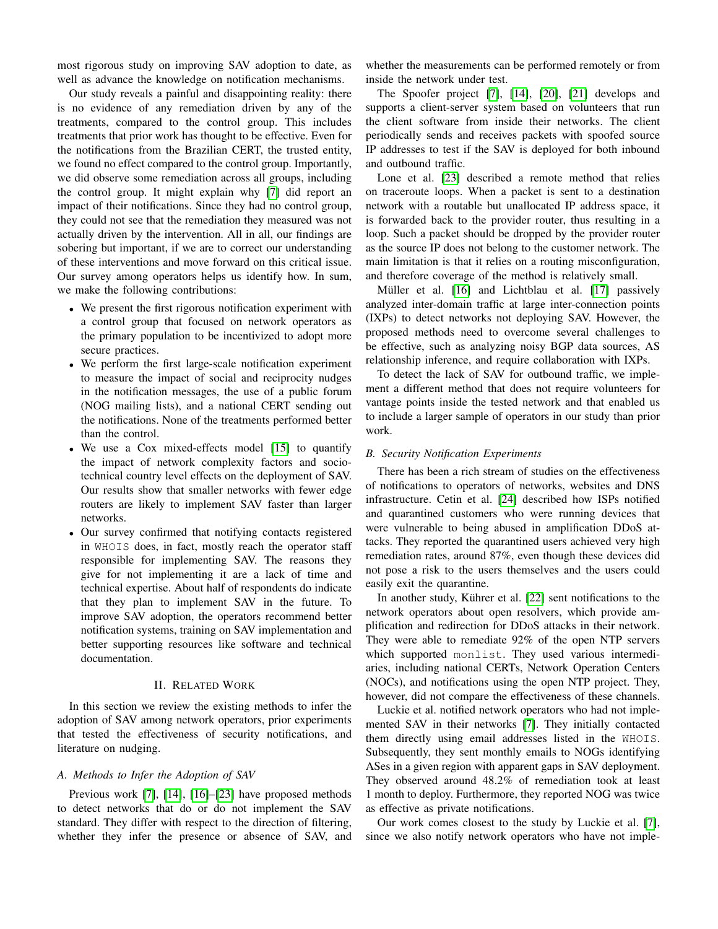most rigorous study on improving SAV adoption to date, as well as advance the knowledge on notification mechanisms.

Our study reveals a painful and disappointing reality: there is no evidence of any remediation driven by any of the treatments, compared to the control group. This includes treatments that prior work has thought to be effective. Even for the notifications from the Brazilian CERT, the trusted entity, we found no effect compared to the control group. Importantly, we did observe some remediation across all groups, including the control group. It might explain why [\[7\]](#page-13-6) did report an impact of their notifications. Since they had no control group, they could not see that the remediation they measured was not actually driven by the intervention. All in all, our findings are sobering but important, if we are to correct our understanding of these interventions and move forward on this critical issue. Our survey among operators helps us identify how. In sum, we make the following contributions:

- We present the first rigorous notification experiment with a control group that focused on network operators as the primary population to be incentivized to adopt more secure practices.
- We perform the first large-scale notification experiment to measure the impact of social and reciprocity nudges in the notification messages, the use of a public forum (NOG mailing lists), and a national CERT sending out the notifications. None of the treatments performed better than the control.
- We use a Cox mixed-effects model [\[15\]](#page-13-12) to quantify the impact of network complexity factors and sociotechnical country level effects on the deployment of SAV. Our results show that smaller networks with fewer edge routers are likely to implement SAV faster than larger networks.
- Our survey confirmed that notifying contacts registered in WHOIS does, in fact, mostly reach the operator staff responsible for implementing SAV. The reasons they give for not implementing it are a lack of time and technical expertise. About half of respondents do indicate that they plan to implement SAV in the future. To improve SAV adoption, the operators recommend better notification systems, training on SAV implementation and better supporting resources like software and technical documentation.

## II. RELATED WORK

In this section we review the existing methods to infer the adoption of SAV among network operators, prior experiments that tested the effectiveness of security notifications, and literature on nudging.

## *A. Methods to Infer the Adoption of SAV*

Previous work [\[7\]](#page-13-6), [\[14\]](#page-13-11), [\[16\]](#page-13-13)–[\[23\]](#page-13-14) have proposed methods to detect networks that do or do not implement the SAV standard. They differ with respect to the direction of filtering, whether they infer the presence or absence of SAV, and whether the measurements can be performed remotely or from inside the network under test.

The Spoofer project [\[7\]](#page-13-6), [\[14\]](#page-13-11), [\[20\]](#page-13-15), [\[21\]](#page-13-16) develops and supports a client-server system based on volunteers that run the client software from inside their networks. The client periodically sends and receives packets with spoofed source IP addresses to test if the SAV is deployed for both inbound and outbound traffic.

Lone et al. [\[23\]](#page-13-14) described a remote method that relies on traceroute loops. When a packet is sent to a destination network with a routable but unallocated IP address space, it is forwarded back to the provider router, thus resulting in a loop. Such a packet should be dropped by the provider router as the source IP does not belong to the customer network. The main limitation is that it relies on a routing misconfiguration, and therefore coverage of the method is relatively small.

Müller et al. [\[16\]](#page-13-13) and Lichtblau et al. [\[17\]](#page-13-17) passively analyzed inter-domain traffic at large inter-connection points (IXPs) to detect networks not deploying SAV. However, the proposed methods need to overcome several challenges to be effective, such as analyzing noisy BGP data sources, AS relationship inference, and require collaboration with IXPs.

To detect the lack of SAV for outbound traffic, we implement a different method that does not require volunteers for vantage points inside the tested network and that enabled us to include a larger sample of operators in our study than prior work.

#### *B. Security Notification Experiments*

There has been a rich stream of studies on the effectiveness of notifications to operators of networks, websites and DNS infrastructure. Cetin et al. [\[24\]](#page-13-18) described how ISPs notified and quarantined customers who were running devices that were vulnerable to being abused in amplification DDoS attacks. They reported the quarantined users achieved very high remediation rates, around 87%, even though these devices did not pose a risk to the users themselves and the users could easily exit the quarantine.

In another study, Kührer et al. [\[22\]](#page-13-19) sent notifications to the network operators about open resolvers, which provide amplification and redirection for DDoS attacks in their network. They were able to remediate 92% of the open NTP servers which supported monlist. They used various intermediaries, including national CERTs, Network Operation Centers (NOCs), and notifications using the open NTP project. They, however, did not compare the effectiveness of these channels.

Luckie et al. notified network operators who had not implemented SAV in their networks [\[7\]](#page-13-6). They initially contacted them directly using email addresses listed in the WHOIS. Subsequently, they sent monthly emails to NOGs identifying ASes in a given region with apparent gaps in SAV deployment. They observed around 48.2% of remediation took at least 1 month to deploy. Furthermore, they reported NOG was twice as effective as private notifications.

Our work comes closest to the study by Luckie et al. [\[7\]](#page-13-6), since we also notify network operators who have not imple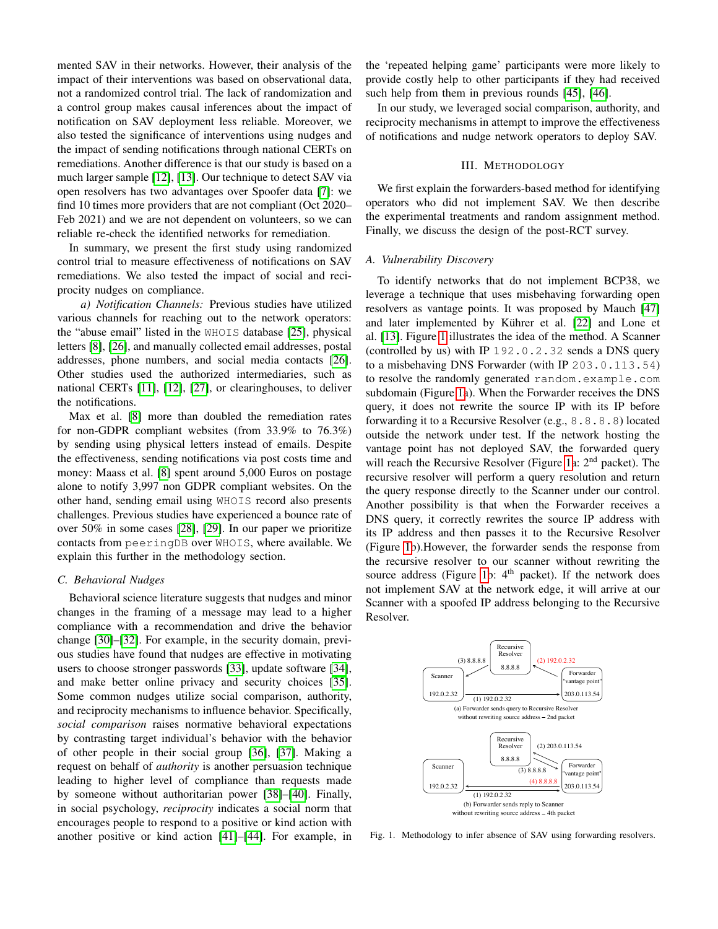mented SAV in their networks. However, their analysis of the impact of their interventions was based on observational data, not a randomized control trial. The lack of randomization and a control group makes causal inferences about the impact of notification on SAV deployment less reliable. Moreover, we also tested the significance of interventions using nudges and the impact of sending notifications through national CERTs on remediations. Another difference is that our study is based on a much larger sample [\[12\]](#page-13-9), [\[13\]](#page-13-10). Our technique to detect SAV via open resolvers has two advantages over Spoofer data [\[7\]](#page-13-6): we find 10 times more providers that are not compliant (Oct 2020– Feb 2021) and we are not dependent on volunteers, so we can reliable re-check the identified networks for remediation.

In summary, we present the first study using randomized control trial to measure effectiveness of notifications on SAV remediations. We also tested the impact of social and reciprocity nudges on compliance.

*a) Notification Channels:* Previous studies have utilized various channels for reaching out to the network operators: the "abuse email" listed in the WHOIS database [\[25\]](#page-13-20), physical letters [\[8\]](#page-13-7), [\[26\]](#page-13-21), and manually collected email addresses, postal addresses, phone numbers, and social media contacts [\[26\]](#page-13-21). Other studies used the authorized intermediaries, such as national CERTs [\[11\]](#page-13-8), [\[12\]](#page-13-9), [\[27\]](#page-13-22), or clearinghouses, to deliver the notifications.

Max et al. [\[8\]](#page-13-7) more than doubled the remediation rates for non-GDPR compliant websites (from 33.9% to 76.3%) by sending using physical letters instead of emails. Despite the effectiveness, sending notifications via post costs time and money: Maass et al. [\[8\]](#page-13-7) spent around 5,000 Euros on postage alone to notify 3,997 non GDPR compliant websites. On the other hand, sending email using WHOIS record also presents challenges. Previous studies have experienced a bounce rate of over 50% in some cases [\[28\]](#page-13-23), [\[29\]](#page-13-24). In our paper we prioritize contacts from peeringDB over WHOIS, where available. We explain this further in the methodology section.

#### <span id="page-2-1"></span>*C. Behavioral Nudges*

Behavioral science literature suggests that nudges and minor changes in the framing of a message may lead to a higher compliance with a recommendation and drive the behavior change [\[30\]](#page-13-25)–[\[32\]](#page-13-26). For example, in the security domain, previous studies have found that nudges are effective in motivating users to choose stronger passwords [\[33\]](#page-13-27), update software [\[34\]](#page-13-28), and make better online privacy and security choices [\[35\]](#page-13-29). Some common nudges utilize social comparison, authority, and reciprocity mechanisms to influence behavior. Specifically, *social comparison* raises normative behavioral expectations by contrasting target individual's behavior with the behavior of other people in their social group [\[36\]](#page-13-30), [\[37\]](#page-13-31). Making a request on behalf of *authority* is another persuasion technique leading to higher level of compliance than requests made by someone without authoritarian power [\[38\]](#page-13-32)–[\[40\]](#page-13-33). Finally, in social psychology, *reciprocity* indicates a social norm that encourages people to respond to a positive or kind action with another positive or kind action [\[41\]](#page-13-34)–[\[44\]](#page-13-35). For example, in

the 'repeated helping game' participants were more likely to provide costly help to other participants if they had received such help from them in previous rounds [\[45\]](#page-13-36), [\[46\]](#page-13-37).

In our study, we leveraged social comparison, authority, and reciprocity mechanisms in attempt to improve the effectiveness of notifications and nudge network operators to deploy SAV.

## III. METHODOLOGY

We first explain the forwarders-based method for identifying operators who did not implement SAV. We then describe the experimental treatments and random assignment method. Finally, we discuss the design of the post-RCT survey.

#### *A. Vulnerability Discovery*

To identify networks that do not implement BCP38, we leverage a technique that uses misbehaving forwarding open resolvers as vantage points. It was proposed by Mauch [\[47\]](#page-13-38) and later implemented by Kührer et al. [\[22\]](#page-13-19) and Lone et al. [\[13\]](#page-13-10). Figure [1](#page-2-0) illustrates the idea of the method. A Scanner (controlled by us) with IP 192.0.2.32 sends a DNS query to a misbehaving DNS Forwarder (with IP 203.0.113.54) to resolve the randomly generated random.example.com subdomain (Figure [1a](#page-2-0)). When the Forwarder receives the DNS query, it does not rewrite the source IP with its IP before forwarding it to a Recursive Resolver (e.g., 8.8.8.8) located outside the network under test. If the network hosting the vantage point has not deployed SAV, the forwarded query will reach the Recursive Resolver (Figure [1a](#page-2-0):  $2<sup>nd</sup>$  packet). The recursive resolver will perform a query resolution and return the query response directly to the Scanner under our control. Another possibility is that when the Forwarder receives a DNS query, it correctly rewrites the source IP address with its IP address and then passes it to the Recursive Resolver (Figure [1b](#page-2-0)).However, the forwarder sends the response from the recursive resolver to our scanner without rewriting the source address (Figure [1b](#page-2-0):  $4<sup>th</sup>$  packet). If the network does not implement SAV at the network edge, it will arrive at our Scanner with a spoofed IP address belonging to the Recursive Resolver.



<span id="page-2-0"></span>Fig. 1. Methodology to infer absence of SAV using forwarding resolvers.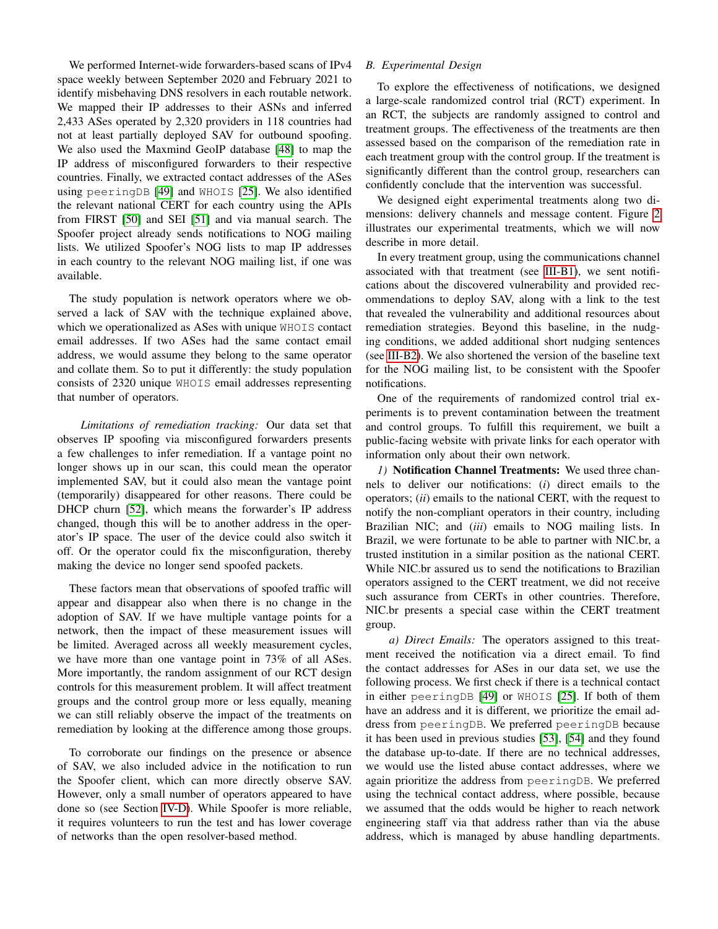We performed Internet-wide forwarders-based scans of IPv4 space weekly between September 2020 and February 2021 to identify misbehaving DNS resolvers in each routable network. We mapped their IP addresses to their ASNs and inferred 2,433 ASes operated by 2,320 providers in 118 countries had not at least partially deployed SAV for outbound spoofing. We also used the Maxmind GeoIP database [\[48\]](#page-13-39) to map the IP address of misconfigured forwarders to their respective countries. Finally, we extracted contact addresses of the ASes using peeringDB [\[49\]](#page-13-40) and WHOIS [\[25\]](#page-13-20). We also identified the relevant national CERT for each country using the APIs from FIRST [\[50\]](#page-13-41) and SEI [\[51\]](#page-13-42) and via manual search. The Spoofer project already sends notifications to NOG mailing lists. We utilized Spoofer's NOG lists to map IP addresses in each country to the relevant NOG mailing list, if one was available.

The study population is network operators where we observed a lack of SAV with the technique explained above, which we operationalized as ASes with unique WHOIS contact email addresses. If two ASes had the same contact email address, we would assume they belong to the same operator and collate them. So to put it differently: the study population consists of 2320 unique WHOIS email addresses representing that number of operators.

*Limitations of remediation tracking:* Our data set that observes IP spoofing via misconfigured forwarders presents a few challenges to infer remediation. If a vantage point no longer shows up in our scan, this could mean the operator implemented SAV, but it could also mean the vantage point (temporarily) disappeared for other reasons. There could be DHCP churn [\[52\]](#page-13-43), which means the forwarder's IP address changed, though this will be to another address in the operator's IP space. The user of the device could also switch it off. Or the operator could fix the misconfiguration, thereby making the device no longer send spoofed packets.

These factors mean that observations of spoofed traffic will appear and disappear also when there is no change in the adoption of SAV. If we have multiple vantage points for a network, then the impact of these measurement issues will be limited. Averaged across all weekly measurement cycles, we have more than one vantage point in 73% of all ASes. More importantly, the random assignment of our RCT design controls for this measurement problem. It will affect treatment groups and the control group more or less equally, meaning we can still reliably observe the impact of the treatments on remediation by looking at the difference among those groups.

To corroborate our findings on the presence or absence of SAV, we also included advice in the notification to run the Spoofer client, which can more directly observe SAV. However, only a small number of operators appeared to have done so (see Section [IV-D\)](#page-8-0). While Spoofer is more reliable, it requires volunteers to run the test and has lower coverage of networks than the open resolver-based method.

## *B. Experimental Design*

To explore the effectiveness of notifications, we designed a large-scale randomized control trial (RCT) experiment. In an RCT, the subjects are randomly assigned to control and treatment groups. The effectiveness of the treatments are then assessed based on the comparison of the remediation rate in each treatment group with the control group. If the treatment is significantly different than the control group, researchers can confidently conclude that the intervention was successful.

We designed eight experimental treatments along two dimensions: delivery channels and message content. Figure [2](#page-4-0) illustrates our experimental treatments, which we will now describe in more detail.

In every treatment group, using the communications channel associated with that treatment (see [III-B1\)](#page-3-0), we sent notifications about the discovered vulnerability and provided recommendations to deploy SAV, along with a link to the test that revealed the vulnerability and additional resources about remediation strategies. Beyond this baseline, in the nudging conditions, we added additional short nudging sentences (see [III-B2\)](#page-4-1). We also shortened the version of the baseline text for the NOG mailing list, to be consistent with the Spoofer notifications.

One of the requirements of randomized control trial experiments is to prevent contamination between the treatment and control groups. To fulfill this requirement, we built a public-facing website with private links for each operator with information only about their own network.

<span id="page-3-0"></span>*1)* Notification Channel Treatments: We used three channels to deliver our notifications: (*i*) direct emails to the operators; (*ii*) emails to the national CERT, with the request to notify the non-compliant operators in their country, including Brazilian NIC; and (*iii*) emails to NOG mailing lists. In Brazil, we were fortunate to be able to partner with NIC.br, a trusted institution in a similar position as the national CERT. While NIC.br assured us to send the notifications to Brazilian operators assigned to the CERT treatment, we did not receive such assurance from CERTs in other countries. Therefore, NIC.br presents a special case within the CERT treatment group.

*a) Direct Emails:* The operators assigned to this treatment received the notification via a direct email. To find the contact addresses for ASes in our data set, we use the following process. We first check if there is a technical contact in either peeringDB [\[49\]](#page-13-40) or WHOIS [\[25\]](#page-13-20). If both of them have an address and it is different, we prioritize the email address from peeringDB. We preferred peeringDB because it has been used in previous studies [\[53\]](#page-13-44), [\[54\]](#page-14-0) and they found the database up-to-date. If there are no technical addresses, we would use the listed abuse contact addresses, where we again prioritize the address from peeringDB. We preferred using the technical contact address, where possible, because we assumed that the odds would be higher to reach network engineering staff via that address rather than via the abuse address, which is managed by abuse handling departments.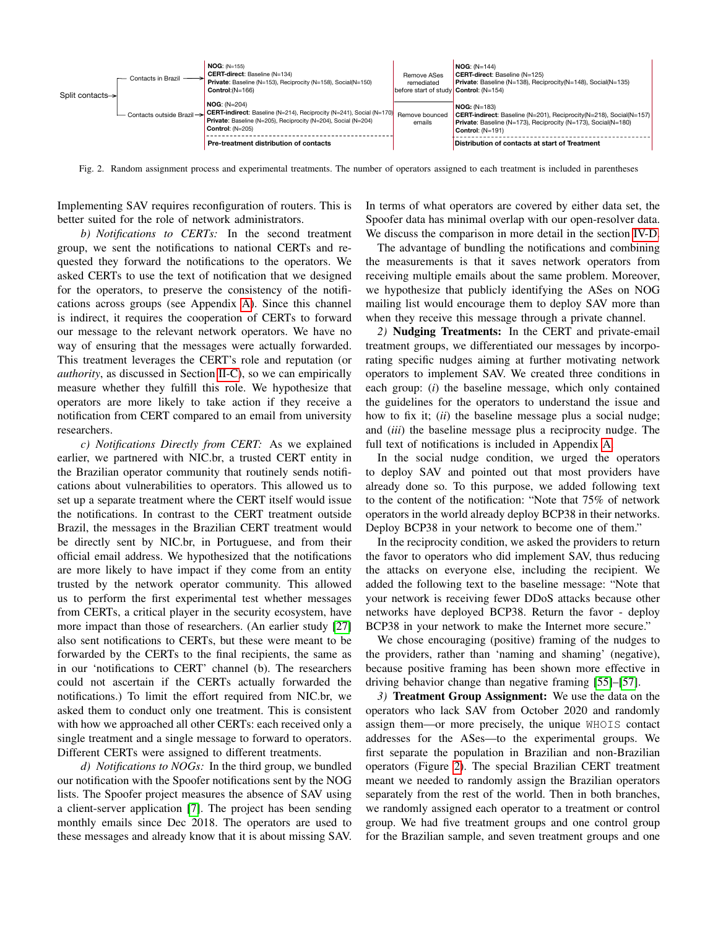

<span id="page-4-0"></span>Fig. 2. Random assignment process and experimental treatments. The number of operators assigned to each treatment is included in parentheses

Implementing SAV requires reconfiguration of routers. This is better suited for the role of network administrators.

*b) Notifications to CERTs:* In the second treatment group, we sent the notifications to national CERTs and requested they forward the notifications to the operators. We asked CERTs to use the text of notification that we designed for the operators, to preserve the consistency of the notifications across groups (see Appendix [A\)](#page-14-1). Since this channel is indirect, it requires the cooperation of CERTs to forward our message to the relevant network operators. We have no way of ensuring that the messages were actually forwarded. This treatment leverages the CERT's role and reputation (or *authority*, as discussed in Section [II-C\)](#page-2-1), so we can empirically measure whether they fulfill this role. We hypothesize that operators are more likely to take action if they receive a notification from CERT compared to an email from university researchers.

*c) Notifications Directly from CERT:* As we explained earlier, we partnered with NIC.br, a trusted CERT entity in the Brazilian operator community that routinely sends notifications about vulnerabilities to operators. This allowed us to set up a separate treatment where the CERT itself would issue the notifications. In contrast to the CERT treatment outside Brazil, the messages in the Brazilian CERT treatment would be directly sent by NIC.br, in Portuguese, and from their official email address. We hypothesized that the notifications are more likely to have impact if they come from an entity trusted by the network operator community. This allowed us to perform the first experimental test whether messages from CERTs, a critical player in the security ecosystem, have more impact than those of researchers. (An earlier study [\[27\]](#page-13-22) also sent notifications to CERTs, but these were meant to be forwarded by the CERTs to the final recipients, the same as in our 'notifications to CERT' channel (b). The researchers could not ascertain if the CERTs actually forwarded the notifications.) To limit the effort required from NIC.br, we asked them to conduct only one treatment. This is consistent with how we approached all other CERTs: each received only a single treatment and a single message to forward to operators. Different CERTs were assigned to different treatments.

*d) Notifications to NOGs:* In the third group, we bundled our notification with the Spoofer notifications sent by the NOG lists. The Spoofer project measures the absence of SAV using a client-server application [\[7\]](#page-13-6). The project has been sending monthly emails since Dec 2018. The operators are used to these messages and already know that it is about missing SAV. In terms of what operators are covered by either data set, the Spoofer data has minimal overlap with our open-resolver data. We discuss the comparison in more detail in the section [IV-D.](#page-8-0)

The advantage of bundling the notifications and combining the measurements is that it saves network operators from receiving multiple emails about the same problem. Moreover, we hypothesize that publicly identifying the ASes on NOG mailing list would encourage them to deploy SAV more than when they receive this message through a private channel.

<span id="page-4-1"></span>*2)* Nudging Treatments: In the CERT and private-email treatment groups, we differentiated our messages by incorporating specific nudges aiming at further motivating network operators to implement SAV. We created three conditions in each group: (*i*) the baseline message, which only contained the guidelines for the operators to understand the issue and how to fix it; (*ii*) the baseline message plus a social nudge; and (*iii*) the baseline message plus a reciprocity nudge. The full text of notifications is included in Appendix [A.](#page-14-1)

In the social nudge condition, we urged the operators to deploy SAV and pointed out that most providers have already done so. To this purpose, we added following text to the content of the notification: "Note that 75% of network operators in the world already deploy BCP38 in their networks. Deploy BCP38 in your network to become one of them."

In the reciprocity condition, we asked the providers to return the favor to operators who did implement SAV, thus reducing the attacks on everyone else, including the recipient. We added the following text to the baseline message: "Note that your network is receiving fewer DDoS attacks because other networks have deployed BCP38. Return the favor - deploy BCP38 in your network to make the Internet more secure."

We chose encouraging (positive) framing of the nudges to the providers, rather than 'naming and shaming' (negative), because positive framing has been shown more effective in driving behavior change than negative framing [\[55\]](#page-14-2)–[\[57\]](#page-14-3).

*3)* Treatment Group Assignment: We use the data on the operators who lack SAV from October 2020 and randomly assign them—or more precisely, the unique WHOIS contact addresses for the ASes—to the experimental groups. We first separate the population in Brazilian and non-Brazilian operators (Figure [2\)](#page-4-0). The special Brazilian CERT treatment meant we needed to randomly assign the Brazilian operators separately from the rest of the world. Then in both branches, we randomly assigned each operator to a treatment or control group. We had five treatment groups and one control group for the Brazilian sample, and seven treatment groups and one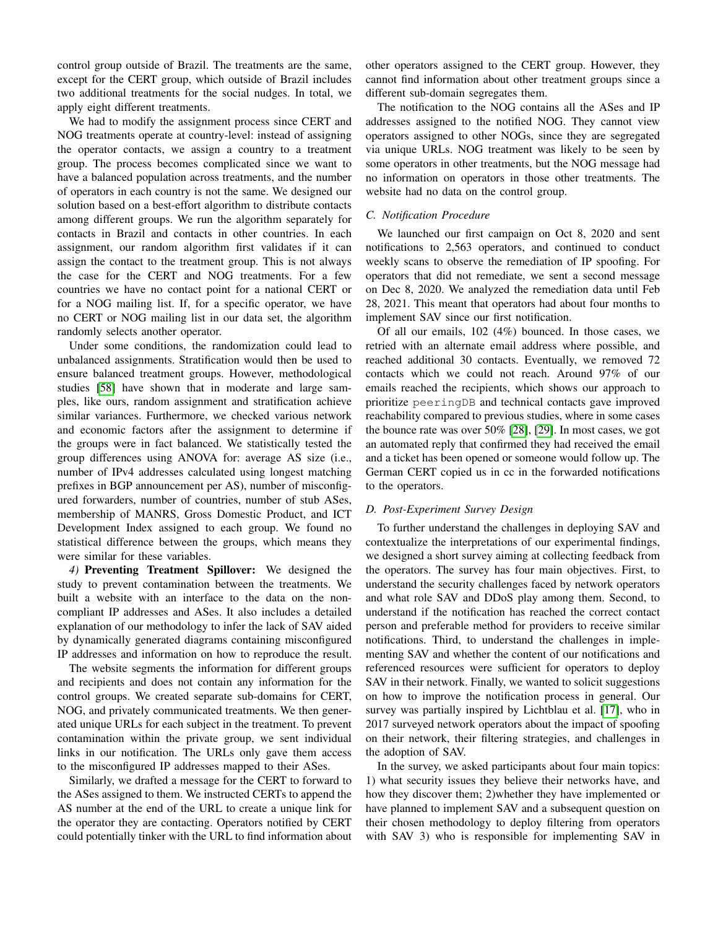control group outside of Brazil. The treatments are the same, except for the CERT group, which outside of Brazil includes two additional treatments for the social nudges. In total, we apply eight different treatments.

We had to modify the assignment process since CERT and NOG treatments operate at country-level: instead of assigning the operator contacts, we assign a country to a treatment group. The process becomes complicated since we want to have a balanced population across treatments, and the number of operators in each country is not the same. We designed our solution based on a best-effort algorithm to distribute contacts among different groups. We run the algorithm separately for contacts in Brazil and contacts in other countries. In each assignment, our random algorithm first validates if it can assign the contact to the treatment group. This is not always the case for the CERT and NOG treatments. For a few countries we have no contact point for a national CERT or for a NOG mailing list. If, for a specific operator, we have no CERT or NOG mailing list in our data set, the algorithm randomly selects another operator.

Under some conditions, the randomization could lead to unbalanced assignments. Stratification would then be used to ensure balanced treatment groups. However, methodological studies [\[58\]](#page-14-4) have shown that in moderate and large samples, like ours, random assignment and stratification achieve similar variances. Furthermore, we checked various network and economic factors after the assignment to determine if the groups were in fact balanced. We statistically tested the group differences using ANOVA for: average AS size (i.e., number of IPv4 addresses calculated using longest matching prefixes in BGP announcement per AS), number of misconfigured forwarders, number of countries, number of stub ASes, membership of MANRS, Gross Domestic Product, and ICT Development Index assigned to each group. We found no statistical difference between the groups, which means they were similar for these variables.

*4)* Preventing Treatment Spillover: We designed the study to prevent contamination between the treatments. We built a website with an interface to the data on the noncompliant IP addresses and ASes. It also includes a detailed explanation of our methodology to infer the lack of SAV aided by dynamically generated diagrams containing misconfigured IP addresses and information on how to reproduce the result.

The website segments the information for different groups and recipients and does not contain any information for the control groups. We created separate sub-domains for CERT, NOG, and privately communicated treatments. We then generated unique URLs for each subject in the treatment. To prevent contamination within the private group, we sent individual links in our notification. The URLs only gave them access to the misconfigured IP addresses mapped to their ASes.

Similarly, we drafted a message for the CERT to forward to the ASes assigned to them. We instructed CERTs to append the AS number at the end of the URL to create a unique link for the operator they are contacting. Operators notified by CERT could potentially tinker with the URL to find information about other operators assigned to the CERT group. However, they cannot find information about other treatment groups since a different sub-domain segregates them.

The notification to the NOG contains all the ASes and IP addresses assigned to the notified NOG. They cannot view operators assigned to other NOGs, since they are segregated via unique URLs. NOG treatment was likely to be seen by some operators in other treatments, but the NOG message had no information on operators in those other treatments. The website had no data on the control group.

#### *C. Notification Procedure*

We launched our first campaign on Oct 8, 2020 and sent notifications to 2,563 operators, and continued to conduct weekly scans to observe the remediation of IP spoofing. For operators that did not remediate, we sent a second message on Dec 8, 2020. We analyzed the remediation data until Feb 28, 2021. This meant that operators had about four months to implement SAV since our first notification.

Of all our emails, 102 (4%) bounced. In those cases, we retried with an alternate email address where possible, and reached additional 30 contacts. Eventually, we removed 72 contacts which we could not reach. Around 97% of our emails reached the recipients, which shows our approach to prioritize peeringDB and technical contacts gave improved reachability compared to previous studies, where in some cases the bounce rate was over 50% [\[28\]](#page-13-23), [\[29\]](#page-13-24). In most cases, we got an automated reply that confirmed they had received the email and a ticket has been opened or someone would follow up. The German CERT copied us in cc in the forwarded notifications to the operators.

## *D. Post-Experiment Survey Design*

To further understand the challenges in deploying SAV and contextualize the interpretations of our experimental findings, we designed a short survey aiming at collecting feedback from the operators. The survey has four main objectives. First, to understand the security challenges faced by network operators and what role SAV and DDoS play among them. Second, to understand if the notification has reached the correct contact person and preferable method for providers to receive similar notifications. Third, to understand the challenges in implementing SAV and whether the content of our notifications and referenced resources were sufficient for operators to deploy SAV in their network. Finally, we wanted to solicit suggestions on how to improve the notification process in general. Our survey was partially inspired by Lichtblau et al. [\[17\]](#page-13-17), who in 2017 surveyed network operators about the impact of spoofing on their network, their filtering strategies, and challenges in the adoption of SAV.

In the survey, we asked participants about four main topics: 1) what security issues they believe their networks have, and how they discover them; 2)whether they have implemented or have planned to implement SAV and a subsequent question on their chosen methodology to deploy filtering from operators with SAV 3) who is responsible for implementing SAV in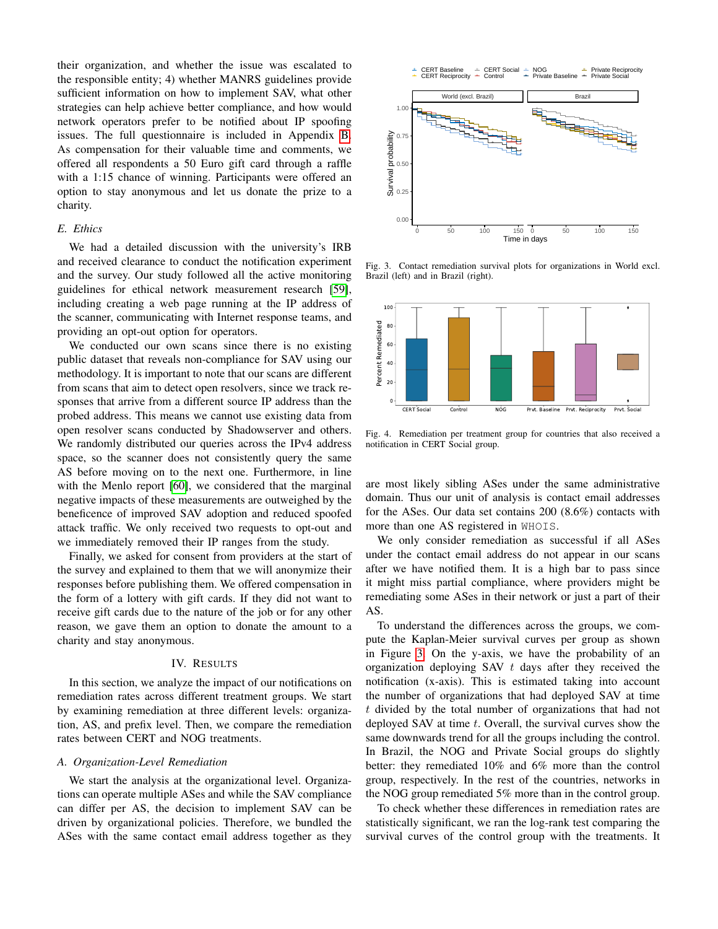their organization, and whether the issue was escalated to the responsible entity; 4) whether MANRS guidelines provide sufficient information on how to implement SAV, what other strategies can help achieve better compliance, and how would network operators prefer to be notified about IP spoofing issues. The full questionnaire is included in Appendix [B.](#page-16-0) As compensation for their valuable time and comments, we offered all respondents a 50 Euro gift card through a raffle with a 1:15 chance of winning. Participants were offered an option to stay anonymous and let us donate the prize to a charity.

## *E. Ethics*

We had a detailed discussion with the university's IRB and received clearance to conduct the notification experiment and the survey. Our study followed all the active monitoring guidelines for ethical network measurement research [\[59\]](#page-14-5), including creating a web page running at the IP address of the scanner, communicating with Internet response teams, and providing an opt-out option for operators.

We conducted our own scans since there is no existing public dataset that reveals non-compliance for SAV using our methodology. It is important to note that our scans are different from scans that aim to detect open resolvers, since we track responses that arrive from a different source IP address than the probed address. This means we cannot use existing data from open resolver scans conducted by Shadowserver and others. We randomly distributed our queries across the IPv4 address space, so the scanner does not consistently query the same AS before moving on to the next one. Furthermore, in line with the Menlo report [\[60\]](#page-14-6), we considered that the marginal negative impacts of these measurements are outweighed by the beneficence of improved SAV adoption and reduced spoofed attack traffic. We only received two requests to opt-out and we immediately removed their IP ranges from the study.

Finally, we asked for consent from providers at the start of the survey and explained to them that we will anonymize their responses before publishing them. We offered compensation in the form of a lottery with gift cards. If they did not want to receive gift cards due to the nature of the job or for any other reason, we gave them an option to donate the amount to a charity and stay anonymous.

## IV. RESULTS

In this section, we analyze the impact of our notifications on remediation rates across different treatment groups. We start by examining remediation at three different levels: organization, AS, and prefix level. Then, we compare the remediation rates between CERT and NOG treatments.

## *A. Organization-Level Remediation*

We start the analysis at the organizational level. Organizations can operate multiple ASes and while the SAV compliance can differ per AS, the decision to implement SAV can be driven by organizational policies. Therefore, we bundled the ASes with the same contact email address together as they



<span id="page-6-0"></span>Fig. 3. Contact remediation survival plots for organizations in World excl. Brazil (left) and in Brazil (right).



<span id="page-6-1"></span>Fig. 4. Remediation per treatment group for countries that also received a notification in CERT Social group.

are most likely sibling ASes under the same administrative domain. Thus our unit of analysis is contact email addresses for the ASes. Our data set contains 200 (8.6%) contacts with more than one AS registered in WHOIS.

We only consider remediation as successful if all ASes under the contact email address do not appear in our scans after we have notified them. It is a high bar to pass since it might miss partial compliance, where providers might be remediating some ASes in their network or just a part of their AS.

To understand the differences across the groups, we compute the Kaplan-Meier survival curves per group as shown in Figure [3.](#page-6-0) On the y-axis, we have the probability of an organization deploying SAV t days after they received the notification (x-axis). This is estimated taking into account the number of organizations that had deployed SAV at time t divided by the total number of organizations that had not deployed SAV at time t. Overall, the survival curves show the same downwards trend for all the groups including the control. In Brazil, the NOG and Private Social groups do slightly better: they remediated 10% and 6% more than the control group, respectively. In the rest of the countries, networks in the NOG group remediated 5% more than in the control group.

To check whether these differences in remediation rates are statistically significant, we ran the log-rank test comparing the survival curves of the control group with the treatments. It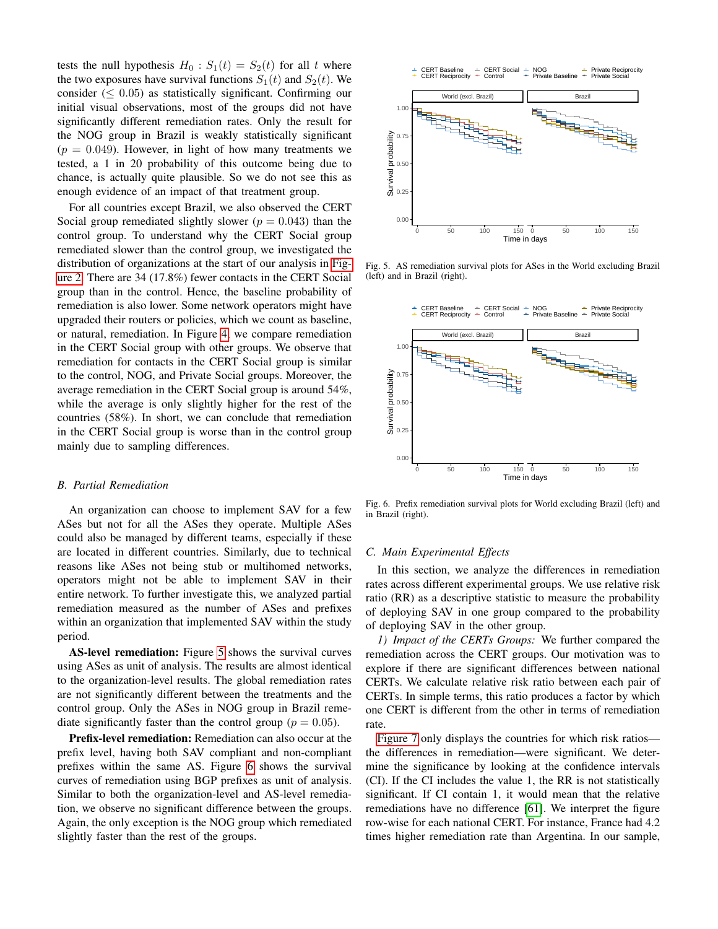tests the null hypothesis  $H_0$ :  $S_1(t) = S_2(t)$  for all t where the two exposures have survival functions  $S_1(t)$  and  $S_2(t)$ . We consider ( $\leq 0.05$ ) as statistically significant. Confirming our initial visual observations, most of the groups did not have significantly different remediation rates. Only the result for the NOG group in Brazil is weakly statistically significant  $(p = 0.049)$ . However, in light of how many treatments we tested, a 1 in 20 probability of this outcome being due to chance, is actually quite plausible. So we do not see this as enough evidence of an impact of that treatment group.

For all countries except Brazil, we also observed the CERT Social group remediated slightly slower ( $p = 0.043$ ) than the control group. To understand why the CERT Social group remediated slower than the control group, we investigated the distribution of organizations at the start of our analysis in [Fig](#page-4-0)[ure 2.](#page-4-0) There are 34 (17.8%) fewer contacts in the CERT Social group than in the control. Hence, the baseline probability of remediation is also lower. Some network operators might have upgraded their routers or policies, which we count as baseline, or natural, remediation. In Figure [4,](#page-6-1) we compare remediation in the CERT Social group with other groups. We observe that remediation for contacts in the CERT Social group is similar to the control, NOG, and Private Social groups. Moreover, the average remediation in the CERT Social group is around 54%, while the average is only slightly higher for the rest of the countries (58%). In short, we can conclude that remediation in the CERT Social group is worse than in the control group mainly due to sampling differences.

#### *B. Partial Remediation*

An organization can choose to implement SAV for a few ASes but not for all the ASes they operate. Multiple ASes could also be managed by different teams, especially if these are located in different countries. Similarly, due to technical reasons like ASes not being stub or multihomed networks, operators might not be able to implement SAV in their entire network. To further investigate this, we analyzed partial remediation measured as the number of ASes and prefixes within an organization that implemented SAV within the study period.

AS-level remediation: Figure [5](#page-7-0) shows the survival curves using ASes as unit of analysis. The results are almost identical to the organization-level results. The global remediation rates are not significantly different between the treatments and the control group. Only the ASes in NOG group in Brazil remediate significantly faster than the control group ( $p = 0.05$ ).

Prefix-level remediation: Remediation can also occur at the prefix level, having both SAV compliant and non-compliant prefixes within the same AS. Figure [6](#page-7-1) shows the survival curves of remediation using BGP prefixes as unit of analysis. Similar to both the organization-level and AS-level remediation, we observe no significant difference between the groups. Again, the only exception is the NOG group which remediated slightly faster than the rest of the groups.



<span id="page-7-0"></span>Fig. 5. AS remediation survival plots for ASes in the World excluding Brazil (left) and in Brazil (right).



<span id="page-7-1"></span>Fig. 6. Prefix remediation survival plots for World excluding Brazil (left) and in Brazil (right).

#### *C. Main Experimental Effects*

In this section, we analyze the differences in remediation rates across different experimental groups. We use relative risk ratio (RR) as a descriptive statistic to measure the probability of deploying SAV in one group compared to the probability of deploying SAV in the other group.

*1) Impact of the CERTs Groups:* We further compared the remediation across the CERT groups. Our motivation was to explore if there are significant differences between national CERTs. We calculate relative risk ratio between each pair of CERTs. In simple terms, this ratio produces a factor by which one CERT is different from the other in terms of remediation rate.

[Figure 7](#page-8-1) only displays the countries for which risk ratios the differences in remediation—were significant. We determine the significance by looking at the confidence intervals (CI). If the CI includes the value 1, the RR is not statistically significant. If CI contain 1, it would mean that the relative remediations have no difference [\[61\]](#page-14-7). We interpret the figure row-wise for each national CERT. For instance, France had 4.2 times higher remediation rate than Argentina. In our sample,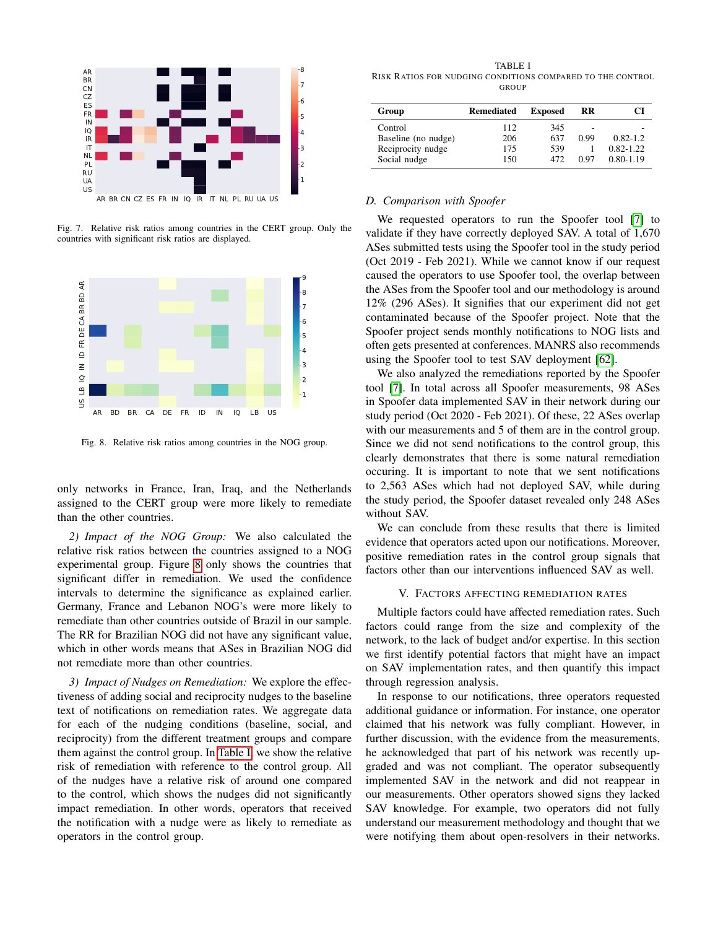

<span id="page-8-1"></span>Fig. 7. Relative risk ratios among countries in the CERT group. Only the countries with significant risk ratios are displayed.



<span id="page-8-2"></span>Fig. 8. Relative risk ratios among countries in the NOG group.

only networks in France, Iran, Iraq, and the Netherlands assigned to the CERT group were more likely to remediate than the other countries.

*2) Impact of the NOG Group:* We also calculated the relative risk ratios between the countries assigned to a NOG experimental group. Figure [8](#page-8-2) only shows the countries that significant differ in remediation. We used the confidence intervals to determine the significance as explained earlier. Germany, France and Lebanon NOG's were more likely to remediate than other countries outside of Brazil in our sample. The RR for Brazilian NOG did not have any significant value, which in other words means that ASes in Brazilian NOG did not remediate more than other countries.

*3) Impact of Nudges on Remediation:* We explore the effectiveness of adding social and reciprocity nudges to the baseline text of notifications on remediation rates. We aggregate data for each of the nudging conditions (baseline, social, and reciprocity) from the different treatment groups and compare them against the control group. In [Table I,](#page-8-3) we show the relative risk of remediation with reference to the control group. All of the nudges have a relative risk of around one compared to the control, which shows the nudges did not significantly impact remediation. In other words, operators that received the notification with a nudge were as likely to remediate as operators in the control group.

<span id="page-8-3"></span>TABLE I RISK RATIOS FOR NUDGING CONDITIONS COMPARED TO THE CONTROL **GROUP** 

| Group               | Remediated | <b>Exposed</b> | RR   |               |
|---------------------|------------|----------------|------|---------------|
| Control             | 112        | 345            | -    |               |
| Baseline (no nudge) | 206        | 637            | 0.99 | $0.82 - 1.2$  |
| Reciprocity nudge   | 175        | 539            |      | $0.82 - 1.22$ |
| Social nudge        | 150        | 472            | 0.97 | $0.80 - 1.19$ |

## <span id="page-8-0"></span>*D. Comparison with Spoofer*

We requested operators to run the Spoofer tool [\[7\]](#page-13-6) to validate if they have correctly deployed SAV. A total of 1,670 ASes submitted tests using the Spoofer tool in the study period (Oct 2019 - Feb 2021). While we cannot know if our request caused the operators to use Spoofer tool, the overlap between the ASes from the Spoofer tool and our methodology is around 12% (296 ASes). It signifies that our experiment did not get contaminated because of the Spoofer project. Note that the Spoofer project sends monthly notifications to NOG lists and often gets presented at conferences. MANRS also recommends using the Spoofer tool to test SAV deployment [\[62\]](#page-14-8).

We also analyzed the remediations reported by the Spoofer tool [\[7\]](#page-13-6). In total across all Spoofer measurements, 98 ASes in Spoofer data implemented SAV in their network during our study period (Oct 2020 - Feb 2021). Of these, 22 ASes overlap with our measurements and 5 of them are in the control group. Since we did not send notifications to the control group, this clearly demonstrates that there is some natural remediation occuring. It is important to note that we sent notifications to 2,563 ASes which had not deployed SAV, while during the study period, the Spoofer dataset revealed only 248 ASes without SAV.

We can conclude from these results that there is limited evidence that operators acted upon our notifications. Moreover, positive remediation rates in the control group signals that factors other than our interventions influenced SAV as well.

#### V. FACTORS AFFECTING REMEDIATION RATES

Multiple factors could have affected remediation rates. Such factors could range from the size and complexity of the network, to the lack of budget and/or expertise. In this section we first identify potential factors that might have an impact on SAV implementation rates, and then quantify this impact through regression analysis.

In response to our notifications, three operators requested additional guidance or information. For instance, one operator claimed that his network was fully compliant. However, in further discussion, with the evidence from the measurements, he acknowledged that part of his network was recently upgraded and was not compliant. The operator subsequently implemented SAV in the network and did not reappear in our measurements. Other operators showed signs they lacked SAV knowledge. For example, two operators did not fully understand our measurement methodology and thought that we were notifying them about open-resolvers in their networks.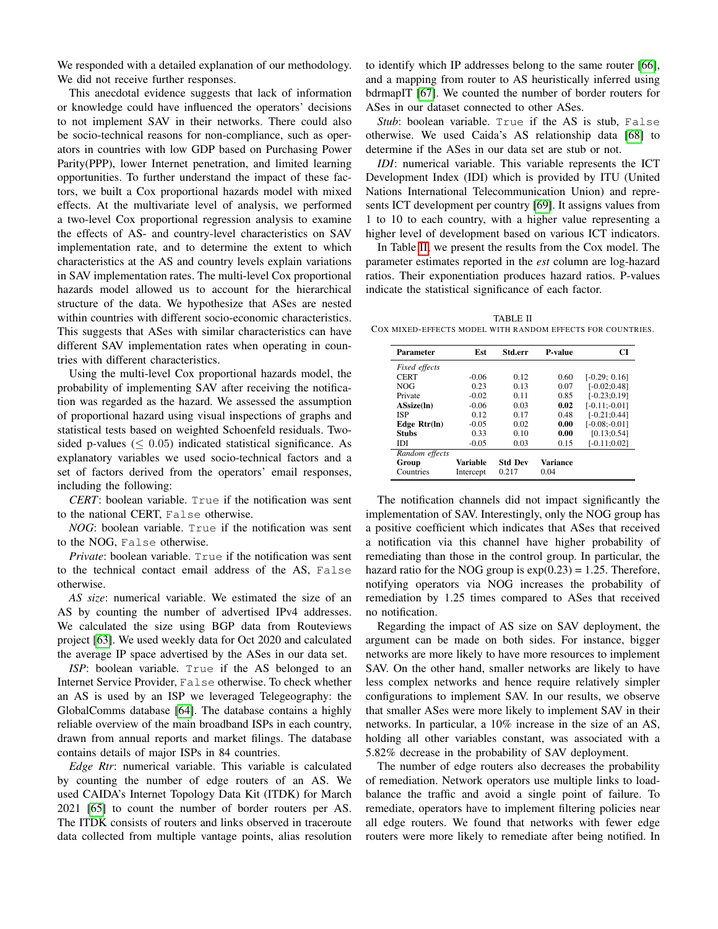We responded with a detailed explanation of our methodology. We did not receive further responses.

This anecdotal evidence suggests that lack of information or knowledge could have influenced the operators' decisions to not implement SAV in their networks. There could also be socio-technical reasons for non-compliance, such as operators in countries with low GDP based on Purchasing Power Parity(PPP), lower Internet penetration, and limited learning opportunities. To further understand the impact of these factors, we built a Cox proportional hazards model with mixed effects. At the multivariate level of analysis, we performed a two-level Cox proportional regression analysis to examine the effects of AS- and country-level characteristics on SAV implementation rate, and to determine the extent to which characteristics at the AS and country levels explain variations in SAV implementation rates. The multi-level Cox proportional hazards model allowed us to account for the hierarchical structure of the data. We hypothesize that ASes are nested within countries with different socio-economic characteristics. This suggests that ASes with similar characteristics can have different SAV implementation rates when operating in countries with different characteristics.

Using the multi-level Cox proportional hazards model, the probability of implementing SAV after receiving the notification was regarded as the hazard. We assessed the assumption of proportional hazard using visual inspections of graphs and statistical tests based on weighted Schoenfeld residuals. Twosided p-values ( $\leq 0.05$ ) indicated statistical significance. As explanatory variables we used socio-technical factors and a set of factors derived from the operators' email responses, including the following:

*CERT*: boolean variable. True if the notification was sent to the national CERT, False otherwise.

*NOG*: boolean variable. True if the notification was sent to the NOG, False otherwise.

*Private*: boolean variable. True if the notification was sent to the technical contact email address of the AS, False otherwise.

*AS size*: numerical variable. We estimated the size of an AS by counting the number of advertised IPv4 addresses. We calculated the size using BGP data from Routeviews project [\[63\]](#page-14-9). We used weekly data for Oct 2020 and calculated the average IP space advertised by the ASes in our data set.

*ISP*: boolean variable. True if the AS belonged to an Internet Service Provider, False otherwise. To check whether an AS is used by an ISP we leveraged Telegeography: the GlobalComms database [\[64\]](#page-14-10). The database contains a highly reliable overview of the main broadband ISPs in each country, drawn from annual reports and market filings. The database contains details of major ISPs in 84 countries.

*Edge Rtr*: numerical variable. This variable is calculated by counting the number of edge routers of an AS. We used CAIDA's Internet Topology Data Kit (ITDK) for March 2021 [\[65\]](#page-14-11) to count the number of border routers per AS. The ITDK consists of routers and links observed in traceroute data collected from multiple vantage points, alias resolution to identify which IP addresses belong to the same router [\[66\]](#page-14-12), and a mapping from router to AS heuristically inferred using bdrmapIT [\[67\]](#page-14-13). We counted the number of border routers for ASes in our dataset connected to other ASes.

*Stub*: boolean variable. True if the AS is stub, False otherwise. We used Caida's AS relationship data [\[68\]](#page-14-14) to determine if the ASes in our data set are stub or not.

*IDI*: numerical variable. This variable represents the ICT Development Index (IDI) which is provided by ITU (United Nations International Telecommunication Union) and represents ICT development per country [\[69\]](#page-14-15). It assigns values from 1 to 10 to each country, with a higher value representing a higher level of development based on various ICT indicators.

In Table [II,](#page-9-0) we present the results from the Cox model. The parameter estimates reported in the *est* column are log-hazard ratios. Their exponentiation produces hazard ratios. P-values indicate the statistical significance of each factor.

<span id="page-9-0"></span>TABLE II COX MIXED-EFFECTS MODEL WITH RANDOM EFFECTS FOR COUNTRIES.

| Parameter      | Est       | Std.err        | <b>P-value</b> | CI               |
|----------------|-----------|----------------|----------------|------------------|
| Fixed effects  |           |                |                |                  |
| <b>CERT</b>    | $-0.06$   | 0.12           | 0.60           | $[-0.29: 0.16]$  |
| <b>NOG</b>     | 0.23      | 0.13           | 0.07           | $[-0.02:0.48]$   |
| Private        | $-0.02$   | 0.11           | 0.85           | $[-0.23;0.19]$   |
| ASsize(ln)     | $-0.06$   | 0.03           | 0.02           | $[-0.11; -0.01]$ |
| <b>ISP</b>     | 0.12      | 0.17           | 0.48           | $[-0.21:0.44]$   |
| Edge Rtr(ln)   | $-0.05$   | 0.02           | 0.00           | $[-0.08:0.01]$   |
| Stubs          | 0.33      | 0.10           | 0.00           | [0.13; 0.54]     |
| IDI            | $-0.05$   | 0.03           | 0.15           | $[-0.11;0.02]$   |
| Random effects |           |                |                |                  |
| Group          | Variable  | <b>Std Dev</b> | Variance       |                  |
| Countries      | Intercept | 0.217          | 0.04           |                  |

The notification channels did not impact significantly the implementation of SAV. Interestingly, only the NOG group has a positive coefficient which indicates that ASes that received a notification via this channel have higher probability of remediating than those in the control group. In particular, the hazard ratio for the NOG group is  $exp(0.23) = 1.25$ . Therefore, notifying operators via NOG increases the probability of remediation by 1.25 times compared to ASes that received no notification.

Regarding the impact of AS size on SAV deployment, the argument can be made on both sides. For instance, bigger networks are more likely to have more resources to implement SAV. On the other hand, smaller networks are likely to have less complex networks and hence require relatively simpler configurations to implement SAV. In our results, we observe that smaller ASes were more likely to implement SAV in their networks. In particular, a 10% increase in the size of an AS, holding all other variables constant, was associated with a 5.82% decrease in the probability of SAV deployment.

The number of edge routers also decreases the probability of remediation. Network operators use multiple links to loadbalance the traffic and avoid a single point of failure. To remediate, operators have to implement filtering policies near all edge routers. We found that networks with fewer edge routers were more likely to remediate after being notified. In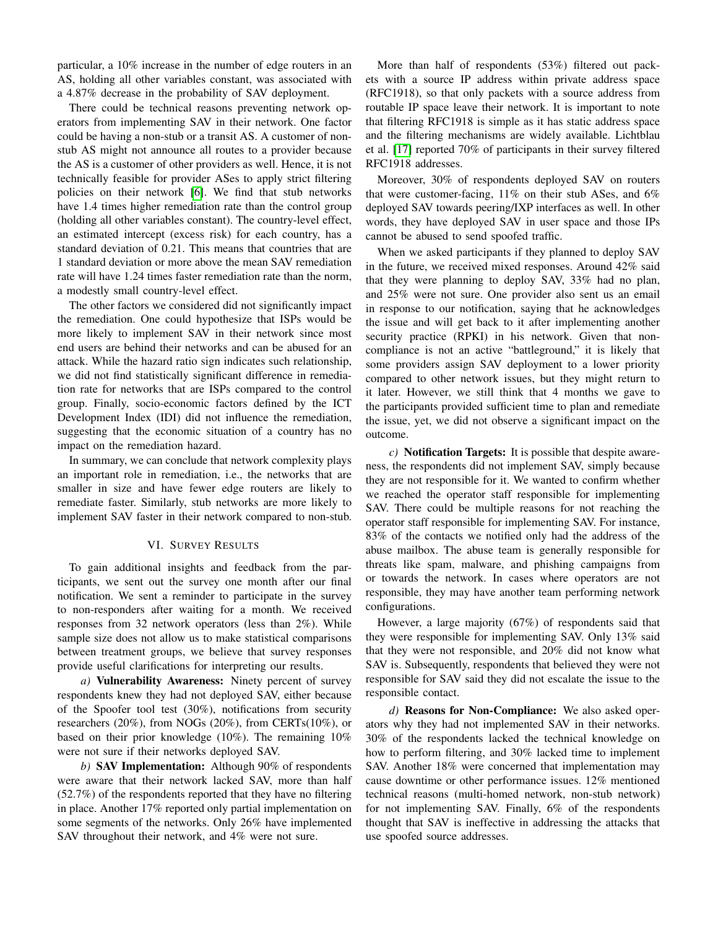particular, a 10% increase in the number of edge routers in an AS, holding all other variables constant, was associated with a 4.87% decrease in the probability of SAV deployment.

There could be technical reasons preventing network operators from implementing SAV in their network. One factor could be having a non-stub or a transit AS. A customer of nonstub AS might not announce all routes to a provider because the AS is a customer of other providers as well. Hence, it is not technically feasible for provider ASes to apply strict filtering policies on their network [\[6\]](#page-13-5). We find that stub networks have 1.4 times higher remediation rate than the control group (holding all other variables constant). The country-level effect, an estimated intercept (excess risk) for each country, has a standard deviation of 0.21. This means that countries that are 1 standard deviation or more above the mean SAV remediation rate will have 1.24 times faster remediation rate than the norm, a modestly small country-level effect.

The other factors we considered did not significantly impact the remediation. One could hypothesize that ISPs would be more likely to implement SAV in their network since most end users are behind their networks and can be abused for an attack. While the hazard ratio sign indicates such relationship, we did not find statistically significant difference in remediation rate for networks that are ISPs compared to the control group. Finally, socio-economic factors defined by the ICT Development Index (IDI) did not influence the remediation, suggesting that the economic situation of a country has no impact on the remediation hazard.

In summary, we can conclude that network complexity plays an important role in remediation, i.e., the networks that are smaller in size and have fewer edge routers are likely to remediate faster. Similarly, stub networks are more likely to implement SAV faster in their network compared to non-stub.

#### VI. SURVEY RESULTS

To gain additional insights and feedback from the participants, we sent out the survey one month after our final notification. We sent a reminder to participate in the survey to non-responders after waiting for a month. We received responses from 32 network operators (less than 2%). While sample size does not allow us to make statistical comparisons between treatment groups, we believe that survey responses provide useful clarifications for interpreting our results.

*a)* Vulnerability Awareness: Ninety percent of survey respondents knew they had not deployed SAV, either because of the Spoofer tool test (30%), notifications from security researchers (20%), from NOGs (20%), from CERTs(10%), or based on their prior knowledge (10%). The remaining 10% were not sure if their networks deployed SAV.

*b)* SAV Implementation: Although 90% of respondents were aware that their network lacked SAV, more than half (52.7%) of the respondents reported that they have no filtering in place. Another 17% reported only partial implementation on some segments of the networks. Only 26% have implemented SAV throughout their network, and 4% were not sure.

More than half of respondents (53%) filtered out packets with a source IP address within private address space (RFC1918), so that only packets with a source address from routable IP space leave their network. It is important to note that filtering RFC1918 is simple as it has static address space and the filtering mechanisms are widely available. Lichtblau et al. [\[17\]](#page-13-17) reported 70% of participants in their survey filtered RFC1918 addresses.

Moreover, 30% of respondents deployed SAV on routers that were customer-facing, 11% on their stub ASes, and 6% deployed SAV towards peering/IXP interfaces as well. In other words, they have deployed SAV in user space and those IPs cannot be abused to send spoofed traffic.

When we asked participants if they planned to deploy SAV in the future, we received mixed responses. Around 42% said that they were planning to deploy SAV, 33% had no plan, and 25% were not sure. One provider also sent us an email in response to our notification, saying that he acknowledges the issue and will get back to it after implementing another security practice (RPKI) in his network. Given that noncompliance is not an active "battleground," it is likely that some providers assign SAV deployment to a lower priority compared to other network issues, but they might return to it later. However, we still think that 4 months we gave to the participants provided sufficient time to plan and remediate the issue, yet, we did not observe a significant impact on the outcome.

*c)* Notification Targets: It is possible that despite awareness, the respondents did not implement SAV, simply because they are not responsible for it. We wanted to confirm whether we reached the operator staff responsible for implementing SAV. There could be multiple reasons for not reaching the operator staff responsible for implementing SAV. For instance, 83% of the contacts we notified only had the address of the abuse mailbox. The abuse team is generally responsible for threats like spam, malware, and phishing campaigns from or towards the network. In cases where operators are not responsible, they may have another team performing network configurations.

However, a large majority (67%) of respondents said that they were responsible for implementing SAV. Only 13% said that they were not responsible, and 20% did not know what SAV is. Subsequently, respondents that believed they were not responsible for SAV said they did not escalate the issue to the responsible contact.

*d)* Reasons for Non-Compliance: We also asked operators why they had not implemented SAV in their networks. 30% of the respondents lacked the technical knowledge on how to perform filtering, and 30% lacked time to implement SAV. Another 18% were concerned that implementation may cause downtime or other performance issues. 12% mentioned technical reasons (multi-homed network, non-stub network) for not implementing SAV. Finally, 6% of the respondents thought that SAV is ineffective in addressing the attacks that use spoofed source addresses.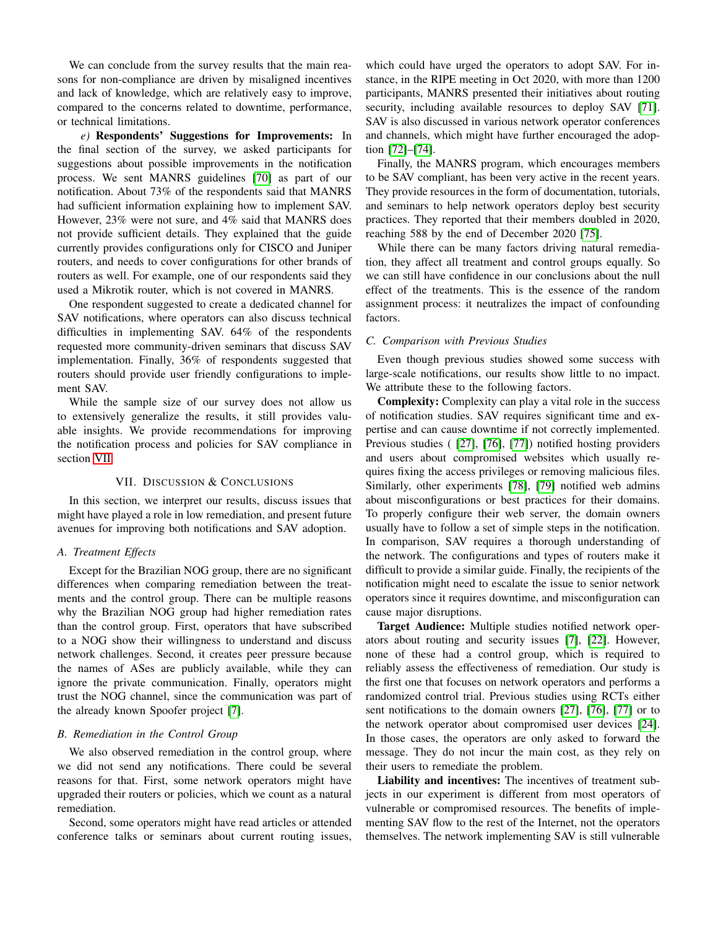We can conclude from the survey results that the main reasons for non-compliance are driven by misaligned incentives and lack of knowledge, which are relatively easy to improve, compared to the concerns related to downtime, performance, or technical limitations.

*e)* Respondents' Suggestions for Improvements: In the final section of the survey, we asked participants for suggestions about possible improvements in the notification process. We sent MANRS guidelines [\[70\]](#page-14-16) as part of our notification. About 73% of the respondents said that MANRS had sufficient information explaining how to implement SAV. However, 23% were not sure, and 4% said that MANRS does not provide sufficient details. They explained that the guide currently provides configurations only for CISCO and Juniper routers, and needs to cover configurations for other brands of routers as well. For example, one of our respondents said they used a Mikrotik router, which is not covered in MANRS.

One respondent suggested to create a dedicated channel for SAV notifications, where operators can also discuss technical difficulties in implementing SAV. 64% of the respondents requested more community-driven seminars that discuss SAV implementation. Finally, 36% of respondents suggested that routers should provide user friendly configurations to implement SAV.

While the sample size of our survey does not allow us to extensively generalize the results, it still provides valuable insights. We provide recommendations for improving the notification process and policies for SAV compliance in section [VII.](#page-11-0)

## VII. DISCUSSION & CONCLUSIONS

<span id="page-11-0"></span>In this section, we interpret our results, discuss issues that might have played a role in low remediation, and present future avenues for improving both notifications and SAV adoption.

## *A. Treatment Effects*

Except for the Brazilian NOG group, there are no significant differences when comparing remediation between the treatments and the control group. There can be multiple reasons why the Brazilian NOG group had higher remediation rates than the control group. First, operators that have subscribed to a NOG show their willingness to understand and discuss network challenges. Second, it creates peer pressure because the names of ASes are publicly available, while they can ignore the private communication. Finally, operators might trust the NOG channel, since the communication was part of the already known Spoofer project [\[7\]](#page-13-6).

## *B. Remediation in the Control Group*

We also observed remediation in the control group, where we did not send any notifications. There could be several reasons for that. First, some network operators might have upgraded their routers or policies, which we count as a natural remediation.

Second, some operators might have read articles or attended conference talks or seminars about current routing issues,

which could have urged the operators to adopt SAV. For instance, in the RIPE meeting in Oct 2020, with more than 1200 participants, MANRS presented their initiatives about routing security, including available resources to deploy SAV [\[71\]](#page-14-17). SAV is also discussed in various network operator conferences and channels, which might have further encouraged the adoption [\[72\]](#page-14-18)–[\[74\]](#page-14-19).

Finally, the MANRS program, which encourages members to be SAV compliant, has been very active in the recent years. They provide resources in the form of documentation, tutorials, and seminars to help network operators deploy best security practices. They reported that their members doubled in 2020, reaching 588 by the end of December 2020 [\[75\]](#page-14-20).

While there can be many factors driving natural remediation, they affect all treatment and control groups equally. So we can still have confidence in our conclusions about the null effect of the treatments. This is the essence of the random assignment process: it neutralizes the impact of confounding factors.

## *C. Comparison with Previous Studies*

Even though previous studies showed some success with large-scale notifications, our results show little to no impact. We attribute these to the following factors.

Complexity: Complexity can play a vital role in the success of notification studies. SAV requires significant time and expertise and can cause downtime if not correctly implemented. Previous studies ( [\[27\]](#page-13-22), [\[76\]](#page-14-21), [\[77\]](#page-14-22)) notified hosting providers and users about compromised websites which usually requires fixing the access privileges or removing malicious files. Similarly, other experiments [\[78\]](#page-14-23), [\[79\]](#page-14-24) notified web admins about misconfigurations or best practices for their domains. To properly configure their web server, the domain owners usually have to follow a set of simple steps in the notification. In comparison, SAV requires a thorough understanding of the network. The configurations and types of routers make it difficult to provide a similar guide. Finally, the recipients of the notification might need to escalate the issue to senior network operators since it requires downtime, and misconfiguration can cause major disruptions.

Target Audience: Multiple studies notified network operators about routing and security issues [\[7\]](#page-13-6), [\[22\]](#page-13-19). However, none of these had a control group, which is required to reliably assess the effectiveness of remediation. Our study is the first one that focuses on network operators and performs a randomized control trial. Previous studies using RCTs either sent notifications to the domain owners [\[27\]](#page-13-22), [\[76\]](#page-14-21), [\[77\]](#page-14-22) or to the network operator about compromised user devices [\[24\]](#page-13-18). In those cases, the operators are only asked to forward the message. They do not incur the main cost, as they rely on their users to remediate the problem.

Liability and incentives: The incentives of treatment subjects in our experiment is different from most operators of vulnerable or compromised resources. The benefits of implementing SAV flow to the rest of the Internet, not the operators themselves. The network implementing SAV is still vulnerable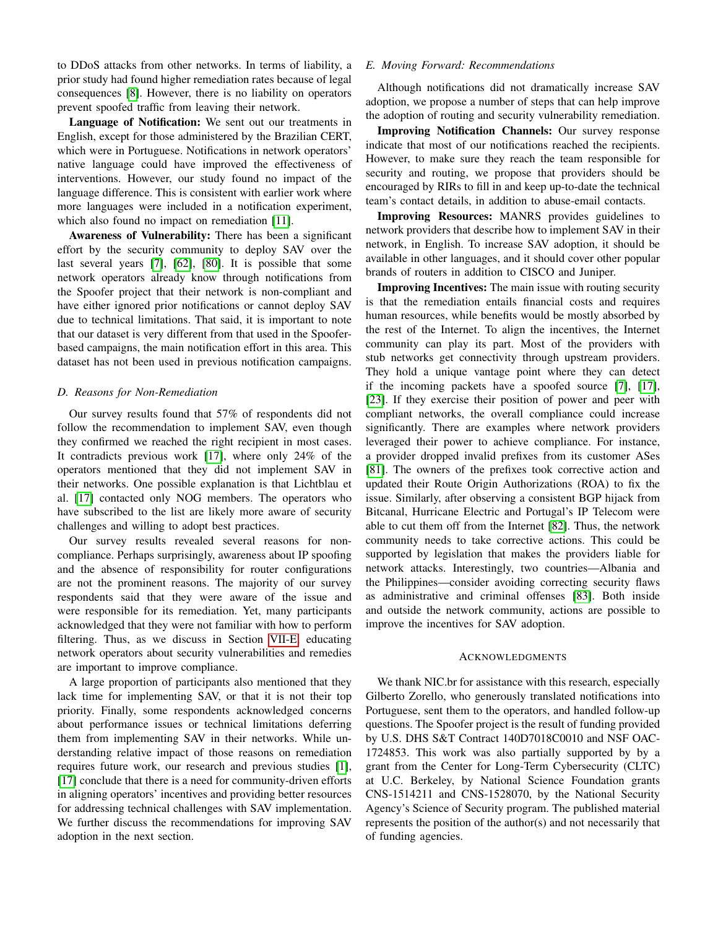to DDoS attacks from other networks. In terms of liability, a prior study had found higher remediation rates because of legal consequences [\[8\]](#page-13-7). However, there is no liability on operators prevent spoofed traffic from leaving their network.

Language of Notification: We sent out our treatments in English, except for those administered by the Brazilian CERT, which were in Portuguese. Notifications in network operators' native language could have improved the effectiveness of interventions. However, our study found no impact of the language difference. This is consistent with earlier work where more languages were included in a notification experiment, which also found no impact on remediation [\[11\]](#page-13-8).

Awareness of Vulnerability: There has been a significant effort by the security community to deploy SAV over the last several years [\[7\]](#page-13-6), [\[62\]](#page-14-8), [\[80\]](#page-14-25). It is possible that some network operators already know through notifications from the Spoofer project that their network is non-compliant and have either ignored prior notifications or cannot deploy SAV due to technical limitations. That said, it is important to note that our dataset is very different from that used in the Spooferbased campaigns, the main notification effort in this area. This dataset has not been used in previous notification campaigns.

#### *D. Reasons for Non-Remediation*

Our survey results found that 57% of respondents did not follow the recommendation to implement SAV, even though they confirmed we reached the right recipient in most cases. It contradicts previous work [\[17\]](#page-13-17), where only 24% of the operators mentioned that they did not implement SAV in their networks. One possible explanation is that Lichtblau et al. [\[17\]](#page-13-17) contacted only NOG members. The operators who have subscribed to the list are likely more aware of security challenges and willing to adopt best practices.

Our survey results revealed several reasons for noncompliance. Perhaps surprisingly, awareness about IP spoofing and the absence of responsibility for router configurations are not the prominent reasons. The majority of our survey respondents said that they were aware of the issue and were responsible for its remediation. Yet, many participants acknowledged that they were not familiar with how to perform filtering. Thus, as we discuss in Section [VII-E,](#page-12-0) educating network operators about security vulnerabilities and remedies are important to improve compliance.

A large proportion of participants also mentioned that they lack time for implementing SAV, or that it is not their top priority. Finally, some respondents acknowledged concerns about performance issues or technical limitations deferring them from implementing SAV in their networks. While understanding relative impact of those reasons on remediation requires future work, our research and previous studies [\[1\]](#page-13-0), [\[17\]](#page-13-17) conclude that there is a need for community-driven efforts in aligning operators' incentives and providing better resources for addressing technical challenges with SAV implementation. We further discuss the recommendations for improving SAV adoption in the next section.

## <span id="page-12-0"></span>*E. Moving Forward: Recommendations*

Although notifications did not dramatically increase SAV adoption, we propose a number of steps that can help improve the adoption of routing and security vulnerability remediation.

Improving Notification Channels: Our survey response indicate that most of our notifications reached the recipients. However, to make sure they reach the team responsible for security and routing, we propose that providers should be encouraged by RIRs to fill in and keep up-to-date the technical team's contact details, in addition to abuse-email contacts.

Improving Resources: MANRS provides guidelines to network providers that describe how to implement SAV in their network, in English. To increase SAV adoption, it should be available in other languages, and it should cover other popular brands of routers in addition to CISCO and Juniper.

Improving Incentives: The main issue with routing security is that the remediation entails financial costs and requires human resources, while benefits would be mostly absorbed by the rest of the Internet. To align the incentives, the Internet community can play its part. Most of the providers with stub networks get connectivity through upstream providers. They hold a unique vantage point where they can detect if the incoming packets have a spoofed source [\[7\]](#page-13-6), [\[17\]](#page-13-17), [\[23\]](#page-13-14). If they exercise their position of power and peer with compliant networks, the overall compliance could increase significantly. There are examples where network providers leveraged their power to achieve compliance. For instance, a provider dropped invalid prefixes from its customer ASes [\[81\]](#page-14-26). The owners of the prefixes took corrective action and updated their Route Origin Authorizations (ROA) to fix the issue. Similarly, after observing a consistent BGP hijack from Bitcanal, Hurricane Electric and Portugal's IP Telecom were able to cut them off from the Internet [\[82\]](#page-14-27). Thus, the network community needs to take corrective actions. This could be supported by legislation that makes the providers liable for network attacks. Interestingly, two countries—Albania and the Philippines—consider avoiding correcting security flaws as administrative and criminal offenses [\[83\]](#page-14-28). Both inside and outside the network community, actions are possible to improve the incentives for SAV adoption.

#### ACKNOWLEDGMENTS

We thank NIC.br for assistance with this research, especially Gilberto Zorello, who generously translated notifications into Portuguese, sent them to the operators, and handled follow-up questions. The Spoofer project is the result of funding provided by U.S. DHS S&T Contract 140D7018C0010 and NSF OAC-1724853. This work was also partially supported by by a grant from the Center for Long-Term Cybersecurity (CLTC) at U.C. Berkeley, by National Science Foundation grants CNS-1514211 and CNS-1528070, by the National Security Agency's Science of Security program. The published material represents the position of the author(s) and not necessarily that of funding agencies.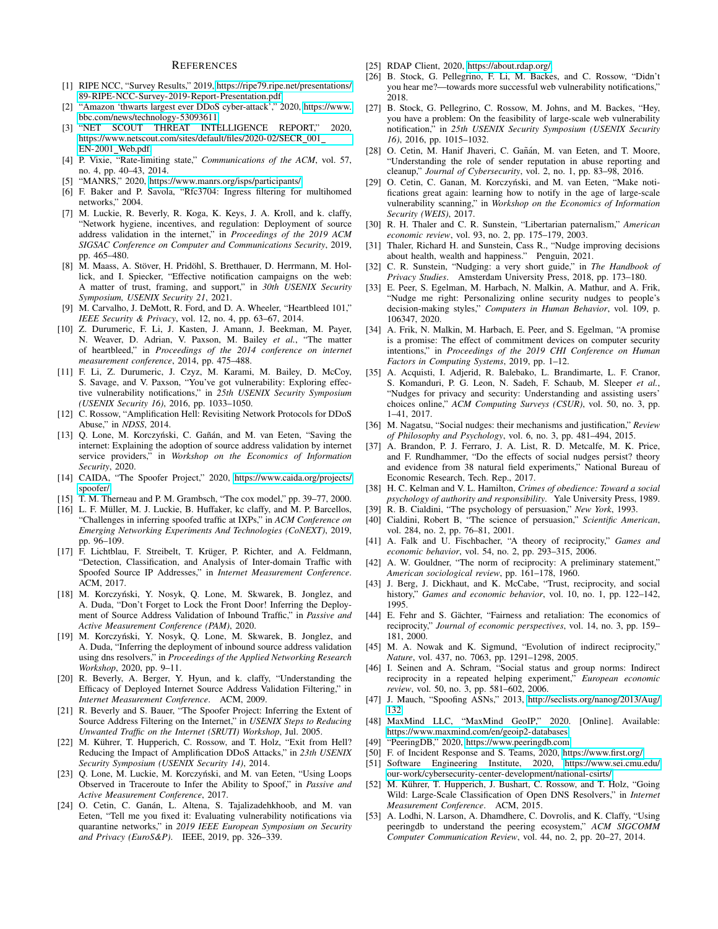#### **REFERENCES**

- <span id="page-13-0"></span>[1] RIPE NCC, "Survey Results," 2019, [https://ripe79.ripe.net/presentations/](https://ripe79.ripe.net/presentations/89-RIPE-NCC-Survey-2019-Report-Presentation.pdf) [89-RIPE-NCC-Survey-2019-Report-Presentation.pdf.](https://ripe79.ripe.net/presentations/89-RIPE-NCC-Survey-2019-Report-Presentation.pdf)
- <span id="page-13-1"></span>"Amazon 'thwarts largest ever DDoS cyber-attack'," 2020, [https://www.](https://www.bbc.com/news/technology-53093611) [bbc.com/news/technology-53093611.](https://www.bbc.com/news/technology-53093611)
- <span id="page-13-2"></span>[3] "NET SCOUT THREAT INTELLIGENCE REPORT," 2020, [https://www.netscout.com/sites/default/files/2020-02/SECR](https://www.netscout.com/sites/default/files/2020-02/SECR_001_EN-2001_Web.pdf) 001 [EN-2001](https://www.netscout.com/sites/default/files/2020-02/SECR_001_EN-2001_Web.pdf) Web.pdf.
- <span id="page-13-3"></span>[4] P. Vixie, "Rate-limiting state," *Communications of the ACM*, vol. 57, no. 4, pp. 40–43, 2014.
- <span id="page-13-4"></span>[5] "MANRS," 2020, [https://www.manrs.org/isps/participants/.](https://www.manrs.org/isps/participants/)
- <span id="page-13-5"></span>[6] F. Baker and P. Savola, "Rfc3704: Ingress filtering for multihomed networks," 2004.
- <span id="page-13-6"></span>[7] M. Luckie, R. Beverly, R. Koga, K. Keys, J. A. Kroll, and k. claffy, "Network hygiene, incentives, and regulation: Deployment of source address validation in the internet," in *Proceedings of the 2019 ACM SIGSAC Conference on Computer and Communications Security*, 2019, pp. 465–480.
- <span id="page-13-7"></span>[8] M. Maass, A. Stöver, H. Pridöhl, S. Bretthauer, D. Herrmann, M. Hollick, and I. Spiecker, "Effective notification campaigns on the web: A matter of trust, framing, and support," in *30th USENIX Security Symposium, USENIX Security 21*, 2021.
- [9] M. Carvalho, J. DeMott, R. Ford, and D. A. Wheeler, "Heartbleed 101," *IEEE Security & Privacy*, vol. 12, no. 4, pp. 63–67, 2014.
- [10] Z. Durumeric, F. Li, J. Kasten, J. Amann, J. Beekman, M. Payer, N. Weaver, D. Adrian, V. Paxson, M. Bailey *et al.*, "The matter of heartbleed," in *Proceedings of the 2014 conference on internet measurement conference*, 2014, pp. 475–488.
- <span id="page-13-8"></span>[11] F. Li, Z. Durumeric, J. Czyz, M. Karami, M. Bailey, D. McCoy, S. Savage, and V. Paxson, "You've got vulnerability: Exploring effective vulnerability notifications," in *25th USENIX Security Symposium (USENIX Security 16)*, 2016, pp. 1033–1050.
- <span id="page-13-9"></span>[12] C. Rossow, "Amplification Hell: Revisiting Network Protocols for DDoS Abuse," in *NDSS*, 2014.
- <span id="page-13-10"></span>[13] Q. Lone, M. Korczyński, C. Gañán, and M. van Eeten, "Saving the internet: Explaining the adoption of source address validation by internet service providers," in *Workshop on the Economics of Information Security*, 2020.
- <span id="page-13-11"></span>[14] CAIDA, "The Spoofer Project," 2020, [https://www.caida.org/projects/](https://www.caida.org/projects/spoofer/) [spoofer/.](https://www.caida.org/projects/spoofer/)
- <span id="page-13-12"></span>[15] T. M. Therneau and P. M. Grambsch, "The cox model," pp. 39-77, 2000.
- <span id="page-13-13"></span>[16] L. F. Müller, M. J. Luckie, B. Huffaker, kc claffy, and M. P. Barcellos, "Challenges in inferring spoofed traffic at IXPs," in *ACM Conference on Emerging Networking Experiments And Technologies (CoNEXT)*, 2019, pp. 96–109.
- <span id="page-13-17"></span>[17] F. Lichtblau, F. Streibelt, T. Krüger, P. Richter, and A. Feldmann, "Detection, Classification, and Analysis of Inter-domain Traffic with Spoofed Source IP Addresses," in *Internet Measurement Conference*. ACM, 2017.
- [18] M. Korczyński, Y. Nosyk, Q. Lone, M. Skwarek, B. Jonglez, and A. Duda, "Don't Forget to Lock the Front Door! Inferring the Deployment of Source Address Validation of Inbound Traffic," in *Passive and Active Measurement Conference (PAM)*, 2020.
- [19] M. Korczyński, Y. Nosyk, Q. Lone, M. Skwarek, B. Jonglez, and A. Duda, "Inferring the deployment of inbound source address validation using dns resolvers," in *Proceedings of the Applied Networking Research Workshop*, 2020, pp. 9–11.
- <span id="page-13-15"></span>[20] R. Beverly, A. Berger, Y. Hyun, and k. claffy, "Understanding the Efficacy of Deployed Internet Source Address Validation Filtering," in *Internet Measurement Conference*. ACM, 2009.
- <span id="page-13-16"></span>[21] R. Beverly and S. Bauer, "The Spoofer Project: Inferring the Extent of Source Address Filtering on the Internet," in *USENIX Steps to Reducing Unwanted Traffic on the Internet (SRUTI) Workshop*, Jul. 2005.
- <span id="page-13-19"></span>[22] M. Kührer, T. Hupperich, C. Rossow, and T. Holz, "Exit from Hell? Reducing the Impact of Amplification DDoS Attacks," in *23th USENIX Security Symposium (USENIX Security 14)*, 2014.
- <span id="page-13-14"></span>[23] Q. Lone, M. Luckie, M. Korczyński, and M. van Eeten, "Using Loops Observed in Traceroute to Infer the Ability to Spoof," in *Passive and Active Measurement Conference*, 2017.
- <span id="page-13-18"></span>[24] O. Cetin, C. Ganán, L. Altena, S. Tajalizadehkhoob, and M. van Eeten, "Tell me you fixed it: Evaluating vulnerability notifications via quarantine networks," in *2019 IEEE European Symposium on Security and Privacy (EuroS&P)*. IEEE, 2019, pp. 326–339.
- <span id="page-13-20"></span>[25] RDAP Client, 2020, [https://about.rdap.org/.](https://about.rdap.org/)
- <span id="page-13-21"></span>[26] B. Stock, G. Pellegrino, F. Li, M. Backes, and C. Rossow, "Didn't you hear me?—towards more successful web vulnerability notifications," 2018.
- <span id="page-13-22"></span>[27] B. Stock, G. Pellegrino, C. Rossow, M. Johns, and M. Backes, "Hey, you have a problem: On the feasibility of large-scale web vulnerability notification," in *25th USENIX Security Symposium (USENIX Security 16)*, 2016, pp. 1015–1032.
- <span id="page-13-23"></span>[28] O. Cetin, M. Hanif Jhaveri, C. Gañán, M. van Eeten, and T. Moore, "Understanding the role of sender reputation in abuse reporting and cleanup," *Journal of Cybersecurity*, vol. 2, no. 1, pp. 83–98, 2016.
- <span id="page-13-24"></span>[29] O. Cetin, C. Ganan, M. Korczyński, and M. van Eeten, "Make notifications great again: learning how to notify in the age of large-scale vulnerability scanning," in *Workshop on the Economics of Information Security (WEIS)*, 2017.
- <span id="page-13-25"></span>[30] R. H. Thaler and C. R. Sunstein, "Libertarian paternalism," *American economic review*, vol. 93, no. 2, pp. 175–179, 2003.
- [31] Thaler, Richard H. and Sunstein, Cass R., "Nudge improving decisions about health, wealth and happiness." Penguin, 2021.
- <span id="page-13-26"></span>[32] C. R. Sunstein, "Nudging: a very short guide," in *The Handbook of Privacy Studies*. Amsterdam University Press, 2018, pp. 173–180.
- <span id="page-13-27"></span>[33] E. Peer, S. Egelman, M. Harbach, N. Malkin, A. Mathur, and A. Frik, "Nudge me right: Personalizing online security nudges to people's decision-making styles," *Computers in Human Behavior*, vol. 109, p. 106347, 2020.
- <span id="page-13-28"></span>[34] A. Frik, N. Malkin, M. Harbach, E. Peer, and S. Egelman, "A promise is a promise: The effect of commitment devices on computer security intentions," in *Proceedings of the 2019 CHI Conference on Human Factors in Computing Systems*, 2019, pp. 1–12.
- <span id="page-13-29"></span>[35] A. Acquisti, I. Adjerid, R. Balebako, L. Brandimarte, L. F. Cranor, S. Komanduri, P. G. Leon, N. Sadeh, F. Schaub, M. Sleeper *et al.*, "Nudges for privacy and security: Understanding and assisting users' choices online," *ACM Computing Surveys (CSUR)*, vol. 50, no. 3, pp. 1–41, 2017.
- <span id="page-13-30"></span>[36] M. Nagatsu, "Social nudges: their mechanisms and justification," *Review of Philosophy and Psychology*, vol. 6, no. 3, pp. 481–494, 2015.
- <span id="page-13-31"></span>[37] A. Brandon, P. J. Ferraro, J. A. List, R. D. Metcalfe, M. K. Price, and F. Rundhammer, "Do the effects of social nudges persist? theory and evidence from 38 natural field experiments," National Bureau of Economic Research, Tech. Rep., 2017.
- <span id="page-13-32"></span>[38] H. C. Kelman and V. L. Hamilton, *Crimes of obedience: Toward a social psychology of authority and responsibility*. Yale University Press, 1989.
- [39] R. B. Cialdini, "The psychology of persuasion," *New York*, 1993.
- <span id="page-13-33"></span>[40] Cialdini, Robert B, "The science of persuasion," *Scientific American*, vol. 284, no. 2, pp. 76–81, 2001.
- <span id="page-13-34"></span>[41] A. Falk and U. Fischbacher, "A theory of reciprocity," *Games and economic behavior*, vol. 54, no. 2, pp. 293–315, 2006.
- [42] A. W. Gouldner, "The norm of reciprocity: A preliminary statement," *American sociological review*, pp. 161–178, 1960.
- [43] J. Berg, J. Dickhaut, and K. McCabe, "Trust, reciprocity, and social history," *Games and economic behavior*, vol. 10, no. 1, pp. 122–142, 1995.
- <span id="page-13-35"></span>[44] E. Fehr and S. Gächter, "Fairness and retaliation: The economics of reciprocity," *Journal of economic perspectives*, vol. 14, no. 3, pp. 159– 181, 2000.
- <span id="page-13-36"></span>[45] M. A. Nowak and K. Sigmund, "Evolution of indirect reciprocity," *Nature*, vol. 437, no. 7063, pp. 1291–1298, 2005.
- <span id="page-13-37"></span>[46] I. Seinen and A. Schram, "Social status and group norms: Indirect reciprocity in a repeated helping experiment," *European economic review*, vol. 50, no. 3, pp. 581–602, 2006.
- <span id="page-13-38"></span>[47] J. Mauch, "Spoofing ASNs," 2013, [http://seclists.org/nanog/2013/Aug/](http://seclists.org/nanog/2013/Aug/132) [132.](http://seclists.org/nanog/2013/Aug/132)
- <span id="page-13-39"></span>[48] MaxMind LLC, "MaxMind GeoIP," 2020. [Online]. Available: <https://www.maxmind.com/en/geoip2-databases>
- <span id="page-13-40"></span>[49] "PeeringDB," 2020, [https://www.peeringdb.com.](https://www.peeringdb.com)
- <span id="page-13-41"></span>[50] F. of Incident Response and S. Teams, 2020, [https://www.first.org/.](https://www.first.org/)
- <span id="page-13-42"></span>[51] Software Engineering Institute, 2020, [https://www.sei.cmu.edu/](https://www.sei.cmu.edu/our-work/cybersecurity-center-development/national-csirts/) [our-work/cybersecurity-center-development/national-csirts/.](https://www.sei.cmu.edu/our-work/cybersecurity-center-development/national-csirts/)
- <span id="page-13-43"></span>[52] M. Kührer, T. Hupperich, J. Bushart, C. Rossow, and T. Holz, "Going Wild: Large-Scale Classification of Open DNS Resolvers," in *Internet Measurement Conference*. ACM, 2015.
- <span id="page-13-44"></span>[53] A. Lodhi, N. Larson, A. Dhamdhere, C. Dovrolis, and K. Claffy, "Using peeringdb to understand the peering ecosystem," *ACM SIGCOMM Computer Communication Review*, vol. 44, no. 2, pp. 20–27, 2014.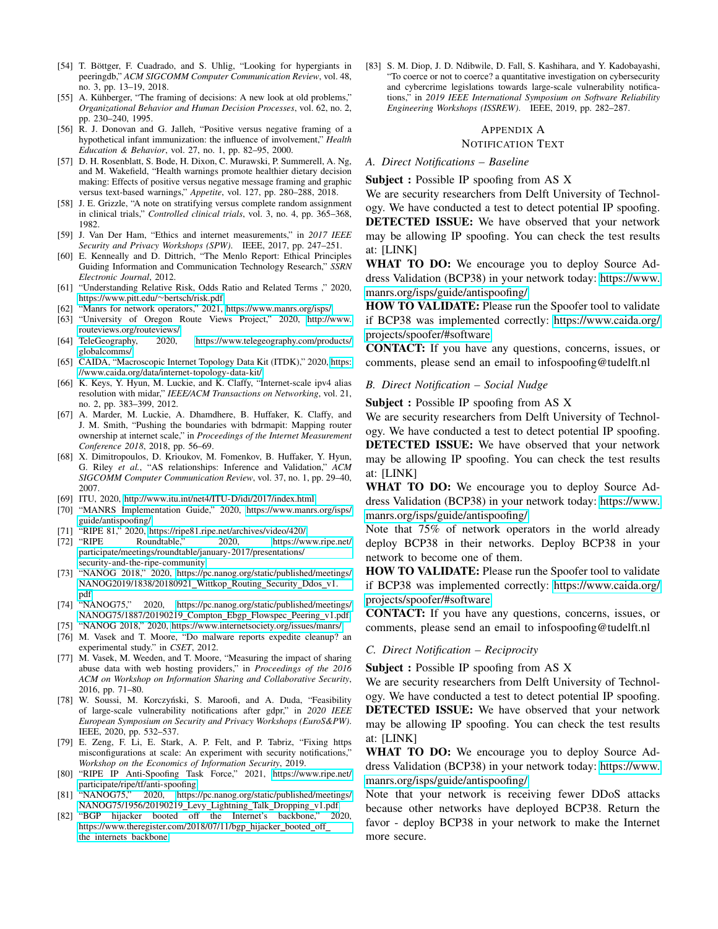- <span id="page-14-0"></span>[54] T. Böttger, F. Cuadrado, and S. Uhlig, "Looking for hypergiants in peeringdb," *ACM SIGCOMM Computer Communication Review*, vol. 48, no. 3, pp. 13–19, 2018.
- <span id="page-14-2"></span>[55] A. Kühberger, "The framing of decisions: A new look at old problems," *Organizational Behavior and Human Decision Processes*, vol. 62, no. 2, pp. 230–240, 1995.
- [56] R. J. Donovan and G. Jalleh, "Positive versus negative framing of a hypothetical infant immunization: the influence of involvement," *Health Education & Behavior*, vol. 27, no. 1, pp. 82–95, 2000.
- <span id="page-14-3"></span>[57] D. H. Rosenblatt, S. Bode, H. Dixon, C. Murawski, P. Summerell, A. Ng, and M. Wakefield, "Health warnings promote healthier dietary decision making: Effects of positive versus negative message framing and graphic versus text-based warnings," *Appetite*, vol. 127, pp. 280–288, 2018.
- <span id="page-14-4"></span>[58] J. E. Grizzle, "A note on stratifying versus complete random assignment in clinical trials," *Controlled clinical trials*, vol. 3, no. 4, pp. 365–368, 1982.
- <span id="page-14-5"></span>[59] J. Van Der Ham, "Ethics and internet measurements," in *2017 IEEE Security and Privacy Workshops (SPW)*. IEEE, 2017, pp. 247–251.
- <span id="page-14-6"></span>[60] E. Kenneally and D. Dittrich, "The Menlo Report: Ethical Principles Guiding Information and Communication Technology Research," *SSRN Electronic Journal*, 2012.
- <span id="page-14-7"></span>[61] "Understanding Relative Risk, Odds Ratio and Related Terms ," 2020, [https://www.pitt.edu/](https://www.pitt.edu/~bertsch/risk.pdf)∼bertsch/risk.pdf.
- <span id="page-14-8"></span>"Manrs for network operators," 2021, [https://www.manrs.org/isps/.](https://www.manrs.org/isps/)
- <span id="page-14-9"></span>[63] "University of Oregon Route Views Project," 2020, [http://www.](http://www.routeviews.org/routeviews/)
- <span id="page-14-10"></span>[routeviews.org/routeviews/.](http://www.routeviews.org/routeviews/)<br>TeleGeography, 2020, [64] TeleGeography, 2020, [https://www.telegeography.com/products/](https://www.telegeography.com/products/globalcomms/) [globalcomms/.](https://www.telegeography.com/products/globalcomms/)
- <span id="page-14-11"></span>[65] CAIDA, "Macroscopic Internet Topology Data Kit (ITDK)," 2020, [https:](https://www.caida.org/data/internet-topology-data-kit/) [//www.caida.org/data/internet-topology-data-kit/.](https://www.caida.org/data/internet-topology-data-kit/)
- <span id="page-14-12"></span>[66] K. Keys, Y. Hyun, M. Luckie, and K. Claffy, "Internet-scale ipv4 alias resolution with midar," *IEEE/ACM Transactions on Networking*, vol. 21, no. 2, pp. 383–399, 2012.
- <span id="page-14-13"></span>[67] A. Marder, M. Luckie, A. Dhamdhere, B. Huffaker, K. Claffy, and J. M. Smith, "Pushing the boundaries with bdrmapit: Mapping router ownership at internet scale," in *Proceedings of the Internet Measurement Conference 2018*, 2018, pp. 56–69.
- <span id="page-14-14"></span>[68] X. Dimitropoulos, D. Krioukov, M. Fomenkov, B. Huffaker, Y. Hyun, G. Riley *et al.*, "AS relationships: Inference and Validation," *ACM SIGCOMM Computer Communication Review*, vol. 37, no. 1, pp. 29–40, 2007.
- <span id="page-14-15"></span>[69] ITU, 2020, [http://www.itu.int/net4/ITU-D/idi/2017/index.html.](http://www.itu.int/net4/ITU-D/idi/2017/index.html)
- <span id="page-14-16"></span>[70] "MANRS Implementation Guide," 2020, [https://www.manrs.org/isps/](https://www.manrs.org/isps/guide/antispoofing/) [guide/antispoofing/.](https://www.manrs.org/isps/guide/antispoofing/)
- <span id="page-14-17"></span>[71] "RIPE 81," 2020, [https://ripe81.ripe.net/archives/video/420/.](https://ripe81.ripe.net/archives/video/420/)
- <span id="page-14-18"></span>[72] "RIPE Roundtable," 2020, [https://www.ripe.net/](https://www.ripe.net/participate/meetings/roundtable/january-2017/presentations/security-and-the-ripe-community) [participate/meetings/roundtable/january-2017/presentations/](https://www.ripe.net/participate/meetings/roundtable/january-2017/presentations/security-and-the-ripe-community) [security-and-the-ripe-community.](https://www.ripe.net/participate/meetings/roundtable/january-2017/presentations/security-and-the-ripe-community)
- [73] "NANOG 2018," 2020, [https://pc.nanog.org/static/published/meetings/](https://pc.nanog.org/static/published/meetings/NANOG2019/1838/20180921_Wittkop_Routing_Security_Ddos_v1.pdf) [NANOG2019/1838/20180921](https://pc.nanog.org/static/published/meetings/NANOG2019/1838/20180921_Wittkop_Routing_Security_Ddos_v1.pdf)\_Wittkop\_Routing\_Security\_Ddos\_v1. [pdf.](https://pc.nanog.org/static/published/meetings/NANOG2019/1838/20180921_Wittkop_Routing_Security_Ddos_v1.pdf)<br>"NANOG75."
- <span id="page-14-19"></span>[74] "NANOG75," 2020, [https://pc.nanog.org/static/published/meetings/](https://pc.nanog.org/static/published/meetings/NANOG75/1887/20190219_Compton_Ebgp_Flowspec_Peering_v1.pdf) [NANOG75/1887/20190219](https://pc.nanog.org/static/published/meetings/NANOG75/1887/20190219_Compton_Ebgp_Flowspec_Peering_v1.pdf)\_Compton\_Ebgp\_Flowspec\_Peering\_v1.pdf.
- <span id="page-14-20"></span>[75] "NANOG 2018," 2020, [https://www.internetsociety.org/issues/manrs/.](https://www.internetsociety.org/issues/manrs/)
- <span id="page-14-21"></span>[76] M. Vasek and T. Moore, "Do malware reports expedite cleanup? an experimental study." in *CSET*, 2012.
- <span id="page-14-22"></span>[77] M. Vasek, M. Weeden, and T. Moore, "Measuring the impact of sharing abuse data with web hosting providers," in *Proceedings of the 2016 ACM on Workshop on Information Sharing and Collaborative Security*, 2016, pp. 71–80.
- <span id="page-14-23"></span>[78] W. Soussi, M. Korczyński, S. Maroofi, and A. Duda, "Feasibility of large-scale vulnerability notifications after gdpr," in *2020 IEEE European Symposium on Security and Privacy Workshops (EuroS&PW)*. IEEE, 2020, pp. 532–537.
- <span id="page-14-24"></span>[79] E. Zeng, F. Li, E. Stark, A. P. Felt, and P. Tabriz, "Fixing https misconfigurations at scale: An experiment with security notifications," *Workshop on the Economics of Information Security*, 2019.
- <span id="page-14-25"></span>[80] "RIPE IP Anti-Spoofing Task Force," 2021, [https://www.ripe.net/](https://www.ripe.net/participate/ripe/tf/anti-spoofing) [participate/ripe/tf/anti-spoofing.](https://www.ripe.net/participate/ripe/tf/anti-spoofing)
- <span id="page-14-26"></span>[81] "NANOG75," 2020, [https://pc.nanog.org/static/published/meetings/](https://pc.nanog.org/static/published/meetings/NANOG75/1956/20190219_Levy_Lightning_Talk_Dropping_v1.pdf) [NANOG75/1956/20190219](https://pc.nanog.org/static/published/meetings/NANOG75/1956/20190219_Levy_Lightning_Talk_Dropping_v1.pdf)\_Levy\_Lightning\_Talk\_Dropping\_v1.pdf.
- <span id="page-14-27"></span>[82] "BGP hijacker booted off the Internet's backbone," 2020, [https://www.theregister.com/2018/07/11/bgp](https://www.theregister.com/2018/07/11/bgp_hijacker_booted_off_the_internets_backbone)\_hijacker\_booted\_off\_ the\_internets\_[backbone.](https://www.theregister.com/2018/07/11/bgp_hijacker_booted_off_the_internets_backbone)

<span id="page-14-28"></span>[83] S. M. Diop, J. D. Ndibwile, D. Fall, S. Kashihara, and Y. Kadobayashi, "To coerce or not to coerce? a quantitative investigation on cybersecurity and cybercrime legislations towards large-scale vulnerability notifications," in *2019 IEEE International Symposium on Software Reliability Engineering Workshops (ISSREW)*. IEEE, 2019, pp. 282–287.

## <span id="page-14-1"></span>APPENDIX A NOTIFICATION TEXT

#### *A. Direct Notifications – Baseline*

Subject : Possible IP spoofing from AS X

We are security researchers from Delft University of Technology. We have conducted a test to detect potential IP spoofing. DETECTED ISSUE: We have observed that your network may be allowing IP spoofing. You can check the test results at: [LINK]

WHAT TO DO: We encourage you to deploy Source Address Validation (BCP38) in your network today: [https://www.](https://www.manrs.org/isps/guide/antispoofing/) [manrs.org/isps/guide/antispoofing/](https://www.manrs.org/isps/guide/antispoofing/)

HOW TO VALIDATE: Please run the Spoofer tool to validate if BCP38 was implemented correctly: [https://www.caida.org/](https://www.caida.org/projects/spoofer/#software) [projects/spoofer/#software](https://www.caida.org/projects/spoofer/#software)

CONTACT: If you have any questions, concerns, issues, or comments, please send an email to infospoofing@tudelft.nl

#### *B. Direct Notification – Social Nudge*

Subject : Possible IP spoofing from AS X

We are security researchers from Delft University of Technology. We have conducted a test to detect potential IP spoofing. DETECTED ISSUE: We have observed that your network may be allowing IP spoofing. You can check the test results at: [LINK]

WHAT TO DO: We encourage you to deploy Source Address Validation (BCP38) in your network today: [https://www.](https://www.manrs.org/isps/guide/antispoofing/) [manrs.org/isps/guide/antispoofing/](https://www.manrs.org/isps/guide/antispoofing/)

Note that 75% of network operators in the world already deploy BCP38 in their networks. Deploy BCP38 in your network to become one of them.

HOW TO VALIDATE: Please run the Spoofer tool to validate if BCP38 was implemented correctly: [https://www.caida.org/](https://www.caida.org/projects/spoofer/#software) [projects/spoofer/#software](https://www.caida.org/projects/spoofer/#software)

CONTACT: If you have any questions, concerns, issues, or comments, please send an email to infospoofing@tudelft.nl

## *C. Direct Notification – Reciprocity*

Subject : Possible IP spoofing from AS X

We are security researchers from Delft University of Technology. We have conducted a test to detect potential IP spoofing. DETECTED ISSUE: We have observed that your network may be allowing IP spoofing. You can check the test results at: [LINK]

WHAT TO DO: We encourage you to deploy Source Address Validation (BCP38) in your network today: [https://www.](https://www.manrs.org/isps/guide/antispoofing/) [manrs.org/isps/guide/antispoofing/](https://www.manrs.org/isps/guide/antispoofing/)

Note that your network is receiving fewer DDoS attacks because other networks have deployed BCP38. Return the favor - deploy BCP38 in your network to make the Internet more secure.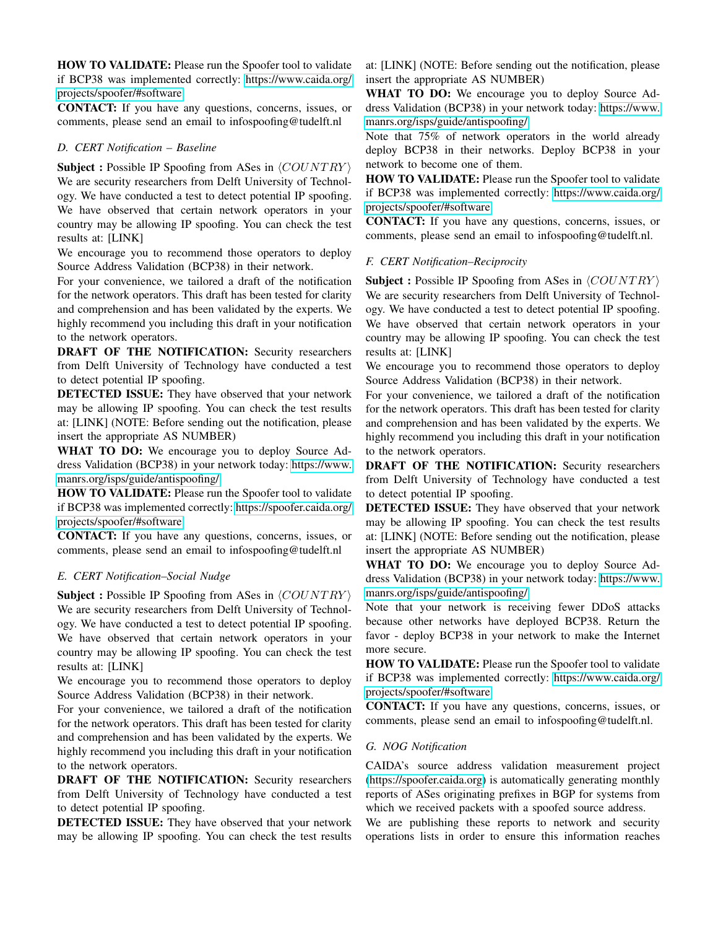HOW TO VALIDATE: Please run the Spoofer tool to validate if BCP38 was implemented correctly: [https://www.caida.org/](https://www.caida.org/projects/spoofer/#software) [projects/spoofer/#software](https://www.caida.org/projects/spoofer/#software)

CONTACT: If you have any questions, concerns, issues, or comments, please send an email to infospoofing@tudelft.nl

## *D. CERT Notification – Baseline*

Subject : Possible IP Spoofing from ASes in  $\langle COUNTRY \rangle$ We are security researchers from Delft University of Technology. We have conducted a test to detect potential IP spoofing. We have observed that certain network operators in your country may be allowing IP spoofing. You can check the test results at: [LINK]

We encourage you to recommend those operators to deploy Source Address Validation (BCP38) in their network.

For your convenience, we tailored a draft of the notification for the network operators. This draft has been tested for clarity and comprehension and has been validated by the experts. We highly recommend you including this draft in your notification to the network operators.

DRAFT OF THE NOTIFICATION: Security researchers from Delft University of Technology have conducted a test to detect potential IP spoofing.

DETECTED ISSUE: They have observed that your network may be allowing IP spoofing. You can check the test results at: [LINK] (NOTE: Before sending out the notification, please insert the appropriate AS NUMBER)

WHAT TO DO: We encourage you to deploy Source Address Validation (BCP38) in your network today: [https://www.](https://www.manrs.org/isps/guide/antispoofing/) [manrs.org/isps/guide/antispoofing/](https://www.manrs.org/isps/guide/antispoofing/)

HOW TO VALIDATE: Please run the Spoofer tool to validate if BCP38 was implemented correctly: [https://spoofer.caida.org/](https://spoofer.caida.org/projects/spoofer/#software) [projects/spoofer/#software](https://spoofer.caida.org/projects/spoofer/#software)

CONTACT: If you have any questions, concerns, issues, or comments, please send an email to infospoofing@tudelft.nl

# *E. CERT Notification–Social Nudge*

Subject : Possible IP Spoofing from ASes in  $\langle COUNTRY \rangle$ We are security researchers from Delft University of Technology. We have conducted a test to detect potential IP spoofing. We have observed that certain network operators in your country may be allowing IP spoofing. You can check the test results at: [LINK]

We encourage you to recommend those operators to deploy Source Address Validation (BCP38) in their network.

For your convenience, we tailored a draft of the notification for the network operators. This draft has been tested for clarity and comprehension and has been validated by the experts. We highly recommend you including this draft in your notification to the network operators.

DRAFT OF THE NOTIFICATION: Security researchers from Delft University of Technology have conducted a test to detect potential IP spoofing.

DETECTED ISSUE: They have observed that your network may be allowing IP spoofing. You can check the test results

at: [LINK] (NOTE: Before sending out the notification, please insert the appropriate AS NUMBER)

WHAT TO DO: We encourage you to deploy Source Address Validation (BCP38) in your network today: [https://www.](https://www.manrs.org/isps/guide/antispoofing/) [manrs.org/isps/guide/antispoofing/](https://www.manrs.org/isps/guide/antispoofing/)

Note that 75% of network operators in the world already deploy BCP38 in their networks. Deploy BCP38 in your network to become one of them.

HOW TO VALIDATE: Please run the Spoofer tool to validate if BCP38 was implemented correctly: [https://www.caida.org/](https://www.caida.org/projects/spoofer/#software) [projects/spoofer/#software](https://www.caida.org/projects/spoofer/#software)

CONTACT: If you have any questions, concerns, issues, or comments, please send an email to infospoofing@tudelft.nl.

# *F. CERT Notification–Reciprocity*

**Subject :** Possible IP Spoofing from ASes in  $\langle COUNTRY \rangle$ We are security researchers from Delft University of Technology. We have conducted a test to detect potential IP spoofing. We have observed that certain network operators in your country may be allowing IP spoofing. You can check the test results at: [LINK]

We encourage you to recommend those operators to deploy Source Address Validation (BCP38) in their network.

For your convenience, we tailored a draft of the notification for the network operators. This draft has been tested for clarity and comprehension and has been validated by the experts. We highly recommend you including this draft in your notification to the network operators.

DRAFT OF THE NOTIFICATION: Security researchers from Delft University of Technology have conducted a test to detect potential IP spoofing.

DETECTED ISSUE: They have observed that your network may be allowing IP spoofing. You can check the test results at: [LINK] (NOTE: Before sending out the notification, please insert the appropriate AS NUMBER)

WHAT TO DO: We encourage you to deploy Source Address Validation (BCP38) in your network today: [https://www.](https://www.manrs.org/isps/guide/antispoofing/) [manrs.org/isps/guide/antispoofing/](https://www.manrs.org/isps/guide/antispoofing/)

Note that your network is receiving fewer DDoS attacks because other networks have deployed BCP38. Return the favor - deploy BCP38 in your network to make the Internet more secure.

HOW TO VALIDATE: Please run the Spoofer tool to validate if BCP38 was implemented correctly: [https://www.caida.org/](https://www.caida.org/projects/spoofer/#software) [projects/spoofer/#software](https://www.caida.org/projects/spoofer/#software)

CONTACT: If you have any questions, concerns, issues, or comments, please send an email to infospoofing@tudelft.nl.

# *G. NOG Notification*

CAIDA's source address validation measurement project [\(https://spoofer.caida.org\)](https://spoofer.caida.org) is automatically generating monthly reports of ASes originating prefixes in BGP for systems from which we received packets with a spoofed source address.

We are publishing these reports to network and security operations lists in order to ensure this information reaches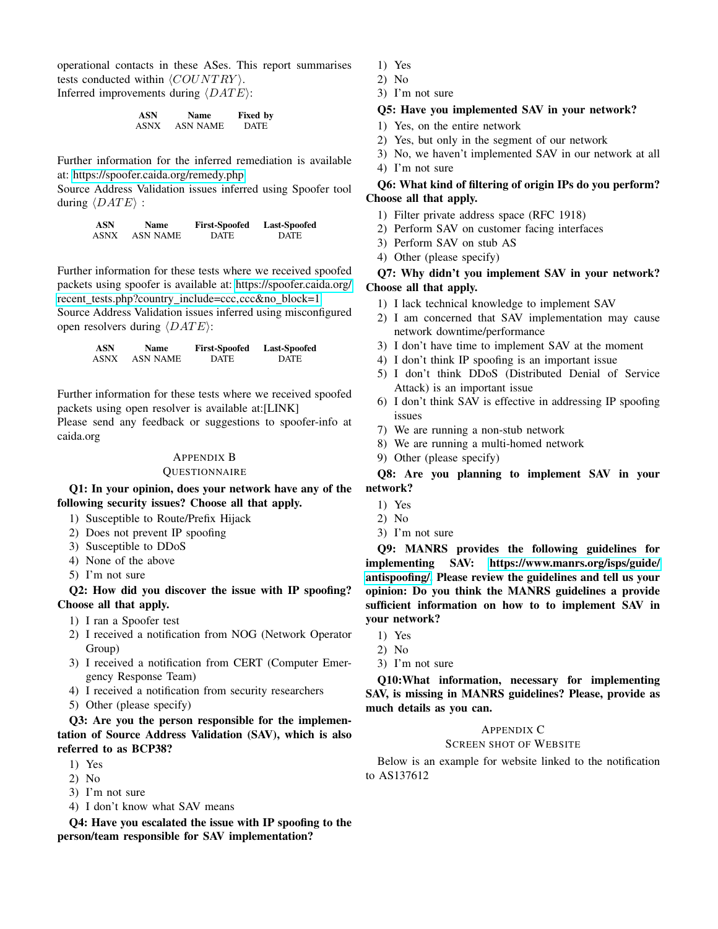operational contacts in these ASes. This report summarises tests conducted within  $\langle COUNTRY \rangle$ . Inferred improvements during  $\langle DATE \rangle$ :

| ASN  | <b>Name</b> | <b>Fixed by</b> |
|------|-------------|-----------------|
| ASNX | ASN NAME    | <b>DATE</b>     |

Further information for the inferred remediation is available at:<https://spoofer.caida.org/remedy.php>

Source Address Validation issues inferred using Spoofer tool during  $\langle DATE \rangle$  :

| ASN  | Name            | <b>First-Spoofed</b> | <b>Last-Spoofed</b> |
|------|-----------------|----------------------|---------------------|
| ASNX | <b>ASN NAME</b> | <b>DATE</b>          | <b>DATE</b>         |

Further information for these tests where we received spoofed packets using spoofer is available at: [https://spoofer.caida.org/](https://spoofer.caida.org/recent_tests.php?country_include=ccc,ccc&no_block=1) recent tests.php?country [include=ccc,ccc&no](https://spoofer.caida.org/recent_tests.php?country_include=ccc,ccc&no_block=1) block=1 Source Address Validation issues inferred using misconfigured open resolvers during  $\langle DATE \rangle$ :

| <b>ASN</b> | Name            | <b>First-Spoofed</b> | <b>Last-Spoofed</b> |
|------------|-----------------|----------------------|---------------------|
| ASNX       | <b>ASN NAME</b> | <b>DATE</b>          | <b>DATE</b>         |

Further information for these tests where we received spoofed packets using open resolver is available at:[LINK]

Please send any feedback or suggestions to spoofer-info at caida.org

## <span id="page-16-0"></span>APPENDIX B

## **QUESTIONNAIRE**

Q1: In your opinion, does your network have any of the following security issues? Choose all that apply.

- 1) Susceptible to Route/Prefix Hijack
- 2) Does not prevent IP spoofing
- 3) Susceptible to DDoS
- 4) None of the above
- 5) I'm not sure

Q2: How did you discover the issue with IP spoofing? Choose all that apply.

- 1) I ran a Spoofer test
- 2) I received a notification from NOG (Network Operator Group)
- 3) I received a notification from CERT (Computer Emergency Response Team)
- 4) I received a notification from security researchers
- 5) Other (please specify)

Q3: Are you the person responsible for the implementation of Source Address Validation (SAV), which is also referred to as BCP38?

- 1) Yes
- 2) No
- 3) I'm not sure
- 4) I don't know what SAV means

Q4: Have you escalated the issue with IP spoofing to the person/team responsible for SAV implementation?

- 1) Yes
- 2) No
- 3) I'm not sure

# Q5: Have you implemented SAV in your network?

- 1) Yes, on the entire network
- 2) Yes, but only in the segment of our network
- 3) No, we haven't implemented SAV in our network at all 4) I'm not sure

# Q6: What kind of filtering of origin IPs do you perform? Choose all that apply.

- 1) Filter private address space (RFC 1918)
- 2) Perform SAV on customer facing interfaces
- 3) Perform SAV on stub AS
- 4) Other (please specify)

# Q7: Why didn't you implement SAV in your network? Choose all that apply.

- 1) I lack technical knowledge to implement SAV
- 2) I am concerned that SAV implementation may cause network downtime/performance
- 3) I don't have time to implement SAV at the moment
- 4) I don't think IP spoofing is an important issue
- 5) I don't think DDoS (Distributed Denial of Service Attack) is an important issue
- 6) I don't think SAV is effective in addressing IP spoofing issues
- 7) We are running a non-stub network
- 8) We are running a multi-homed network
- 9) Other (please specify)

Q8: Are you planning to implement SAV in your network?

- 1) Yes
- 2) No
- 3) I'm not sure

Q9: MANRS provides the following guidelines for implementing SAV: [https://www.manrs.org/isps/guide/](https://www.manrs.org/isps/guide/antispoofing/) [antispoofing/.](https://www.manrs.org/isps/guide/antispoofing/) Please review the guidelines and tell us your opinion: Do you think the MANRS guidelines a provide sufficient information on how to to implement SAV in your network?

- 1) Yes
- 2) No
- 3) I'm not sure

Q10:What information, necessary for implementing SAV, is missing in MANRS guidelines? Please, provide as much details as you can.

## APPENDIX C

## SCREEN SHOT OF WEBSITE

Below is an example for website linked to the notification to AS137612